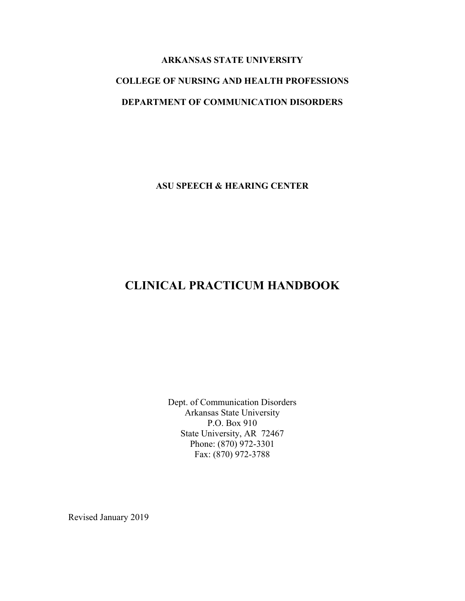# **ARKANSAS STATE UNIVERSITY COLLEGE OF NURSING AND HEALTH PROFESSIONS DEPARTMENT OF COMMUNICATION DISORDERS**

**ASU SPEECH & HEARING CENTER**

## **CLINICAL PRACTICUM HANDBOOK**

Dept. of Communication Disorders Arkansas State University P.O. Box 910 State University, AR 72467 Phone: (870) 972-3301 Fax: (870) 972-3788

Revised January 2019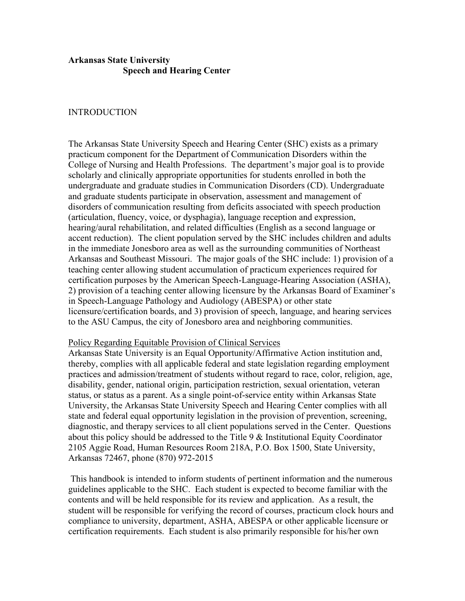### **Arkansas State University Speech and Hearing Center**

#### INTRODUCTION

The Arkansas State University Speech and Hearing Center (SHC) exists as a primary practicum component for the Department of Communication Disorders within the College of Nursing and Health Professions. The department's major goal is to provide scholarly and clinically appropriate opportunities for students enrolled in both the undergraduate and graduate studies in Communication Disorders (CD). Undergraduate and graduate students participate in observation, assessment and management of disorders of communication resulting from deficits associated with speech production (articulation, fluency, voice, or dysphagia), language reception and expression, hearing/aural rehabilitation, and related difficulties (English as a second language or accent reduction). The client population served by the SHC includes children and adults in the immediate Jonesboro area as well as the surrounding communities of Northeast Arkansas and Southeast Missouri. The major goals of the SHC include: 1) provision of a teaching center allowing student accumulation of practicum experiences required for certification purposes by the American Speech-Language-Hearing Association (ASHA), 2) provision of a teaching center allowing licensure by the Arkansas Board of Examiner's in Speech-Language Pathology and Audiology (ABESPA) or other state licensure/certification boards, and 3) provision of speech, language, and hearing services to the ASU Campus, the city of Jonesboro area and neighboring communities.

#### Policy Regarding Equitable Provision of Clinical Services

Arkansas State University is an Equal Opportunity/Affirmative Action institution and, thereby, complies with all applicable federal and state legislation regarding employment practices and admission/treatment of students without regard to race, color, religion, age, disability, gender, national origin, participation restriction, sexual orientation, veteran status, or status as a parent. As a single point-of-service entity within Arkansas State University, the Arkansas State University Speech and Hearing Center complies with all state and federal equal opportunity legislation in the provision of prevention, screening, diagnostic, and therapy services to all client populations served in the Center. Questions about this policy should be addressed to the Title 9 & Institutional Equity Coordinator 2105 Aggie Road, Human Resources Room 218A, P.O. Box 1500, State University, Arkansas 72467, phone (870) 972-2015

This handbook is intended to inform students of pertinent information and the numerous guidelines applicable to the SHC. Each student is expected to become familiar with the contents and will be held responsible for its review and application. As a result, the student will be responsible for verifying the record of courses, practicum clock hours and compliance to university, department, ASHA, ABESPA or other applicable licensure or certification requirements. Each student is also primarily responsible for his/her own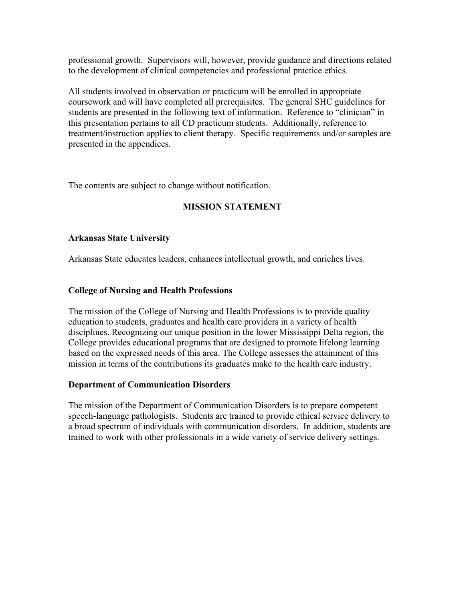professional growth. Supervisors will, however, provide guidance and directions related to the development of clinical competencies and professional practice ethics.

All students involved in observation or practicum will be enrolled in appropriate coursework and will have completed all prerequisites. The general SHC guidelines for students are presented in the following text of information. Reference to "clinician" in this presentation pertains to all CD practicum students. Additionally, reference to treatment/instruction applies to client therapy. Specific requirements and/or samples are presented in the appendices.

The contents are subject to change without notification.

## **MISSION STATEMENT**

## **Arkansas State University**

Arkansas State educates leaders, enhances intellectual growth, and enriches lives.

## **College of Nursing and Health Professions**

The mission of the College of Nursing and Health Professions is to provide quality education to students, graduates and health care providers in a variety of health disciplines. Recognizing our unique position in the lower Mississippi Delta region, the College provides educational programs that are designed to promote lifelong learning based on the expressed needs of this area. The College assesses the attainment of this mission in terms of the contributions its graduates make to the health care industry.

#### **Department of Communication Disorders**

The mission of the Department of Communication Disorders is to prepare competent speech-language pathologists. Students are trained to provide ethical service delivery to a broad spectrum of individuals with communication disorders. In addition, students are trained to work with other professionals in a wide variety of service delivery settings.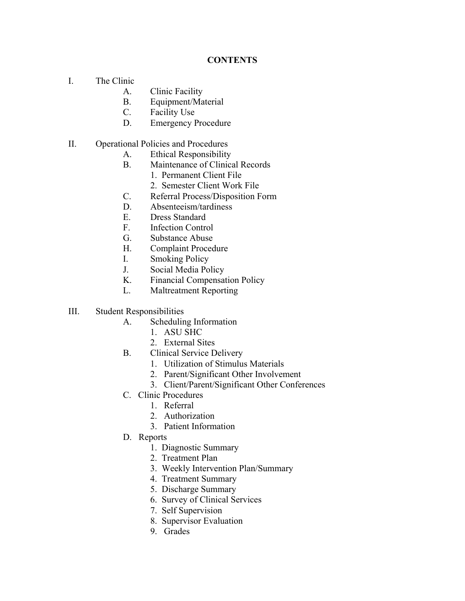## **CONTENTS**

- I. The Clinic
	- A. Clinic Facility
	- B. Equipment/Material
	- C. Facility Use
	- D. Emergency Procedure
- II. Operational Policies and Procedures
	- A. Ethical Responsibility
	- B. Maintenance of Clinical Records
		- 1. Permanent Client File
		- 2. Semester Client Work File
	- C. Referral Process/Disposition Form
	- D. Absenteeism/tardiness
	- E. Dress Standard
	- F. Infection Control
	- G. Substance Abuse
	- H. Complaint Procedure
	- I. Smoking Policy
	- J. Social Media Policy
	- K. Financial Compensation Policy
	- L. Maltreatment Reporting
- III. Student Responsibilities
	- A. Scheduling Information
		- 1. ASU SHC
		- 2. External Sites
	- B. Clinical Service Delivery
		- 1. Utilization of Stimulus Materials
		- 2. Parent/Significant Other Involvement
		- 3. Client/Parent/Significant Other Conferences
	- C. Clinic Procedures
		- 1. Referral
		- 2. Authorization
		- 3. Patient Information
	- D. Reports
		- 1. Diagnostic Summary
		- 2. Treatment Plan
		- 3. Weekly Intervention Plan/Summary
		- 4. Treatment Summary
		- 5. Discharge Summary
		- 6. Survey of Clinical Services
		- 7. Self Supervision
		- 8. Supervisor Evaluation
		- 9. Grades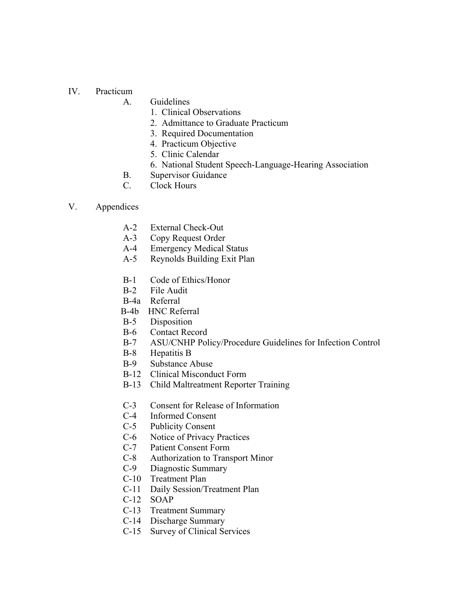#### IV. Practicum

- A. Guidelines
	- 1. Clinical Observations
	- 2. Admittance to Graduate Practicum
	- 3. Required Documentation
	- 4. Practicum Objective
	- 5. Clinic Calendar
	- 6. National Student Speech-Language-Hearing Association
- B. Supervisor Guidance
- C. Clock Hours

#### V. Appendices

- A-2 External Check-Out
- A-3 Copy Request Order
- A-4 Emergency Medical Status
- A-5 Reynolds Building Exit Plan
- B-1 Code of Ethics/Honor
- B-2 File Audit
- B-4a Referral
- B-4b HNC Referral
- B-5 Disposition
- B-6 Contact Record
- B-7 ASU/CNHP Policy/Procedure Guidelines for Infection Control
- B-8 Hepatitis B
- B-9 Substance Abuse
- B-12 Clinical Misconduct Form
- B-13 Child Maltreatment Reporter Training
- C-3 Consent for Release of Information
- C-4 Informed Consent
- C-5 Publicity Consent
- C-6 Notice of Privacy Practices
- C-7 Patient Consent Form
- C-8 Authorization to Transport Minor
- C-9 Diagnostic Summary
- C-10 Treatment Plan
- C-11 Daily Session/Treatment Plan
- C-12 SOAP
- C-13 Treatment Summary
- C-14 Discharge Summary
- C-15 Survey of Clinical Services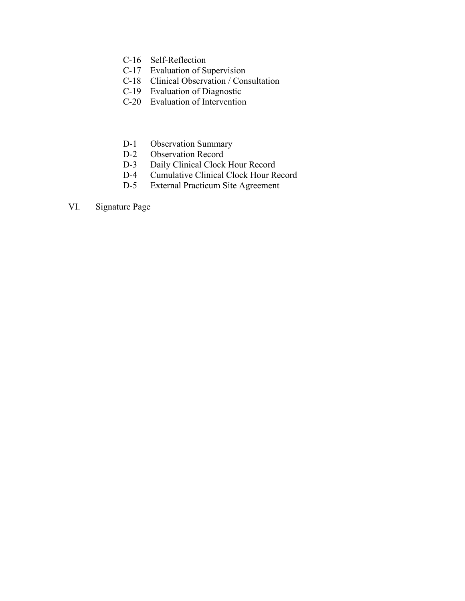- C-16 Self-Reflection
- C-17 Evaluation of Supervision
- C-18 Clinical Observation / Consultation
- C-19 Evaluation of Diagnostic
- C-20 Evaluation of Intervention
- D-1 Observation Summary
- D-2 Observation Record
- D-3 Daily Clinical Clock Hour Record
- D-4 Cumulative Clinical Clock Hour Record
- D-5 External Practicum Site Agreement
- VI. Signature Page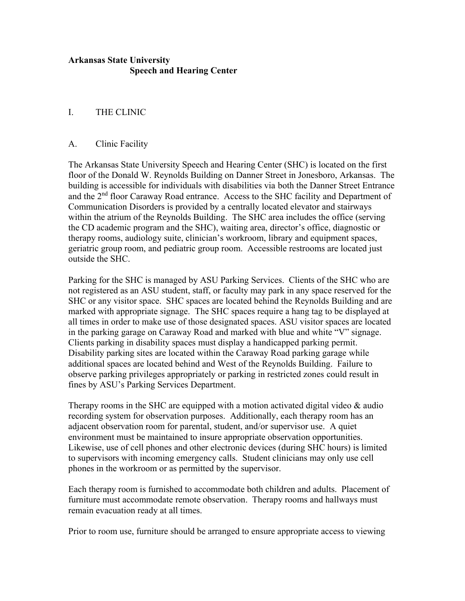## **Arkansas State University Speech and Hearing Center**

## I. THE CLINIC

#### A. Clinic Facility

The Arkansas State University Speech and Hearing Center (SHC) is located on the first floor of the Donald W. Reynolds Building on Danner Street in Jonesboro, Arkansas. The building is accessible for individuals with disabilities via both the Danner Street Entrance and the 2<sup>nd</sup> floor Caraway Road entrance. Access to the SHC facility and Department of Communication Disorders is provided by a centrally located elevator and stairways within the atrium of the Reynolds Building. The SHC area includes the office (serving the CD academic program and the SHC), waiting area, director's office, diagnostic or therapy rooms, audiology suite, clinician's workroom, library and equipment spaces, geriatric group room, and pediatric group room. Accessible restrooms are located just outside the SHC.

Parking for the SHC is managed by ASU Parking Services. Clients of the SHC who are not registered as an ASU student, staff, or faculty may park in any space reserved for the SHC or any visitor space. SHC spaces are located behind the Reynolds Building and are marked with appropriate signage. The SHC spaces require a hang tag to be displayed at all times in order to make use of those designated spaces. ASU visitor spaces are located in the parking garage on Caraway Road and marked with blue and white "V" signage. Clients parking in disability spaces must display a handicapped parking permit. Disability parking sites are located within the Caraway Road parking garage while additional spaces are located behind and West of the Reynolds Building. Failure to observe parking privileges appropriately or parking in restricted zones could result in fines by ASU's Parking Services Department.

Therapy rooms in the SHC are equipped with a motion activated digital video & audio recording system for observation purposes. Additionally, each therapy room has an adjacent observation room for parental, student, and/or supervisor use. A quiet environment must be maintained to insure appropriate observation opportunities. Likewise, use of cell phones and other electronic devices (during SHC hours) is limited to supervisors with incoming emergency calls. Student clinicians may only use cell phones in the workroom or as permitted by the supervisor.

Each therapy room is furnished to accommodate both children and adults. Placement of furniture must accommodate remote observation. Therapy rooms and hallways must remain evacuation ready at all times.

Prior to room use, furniture should be arranged to ensure appropriate access to viewing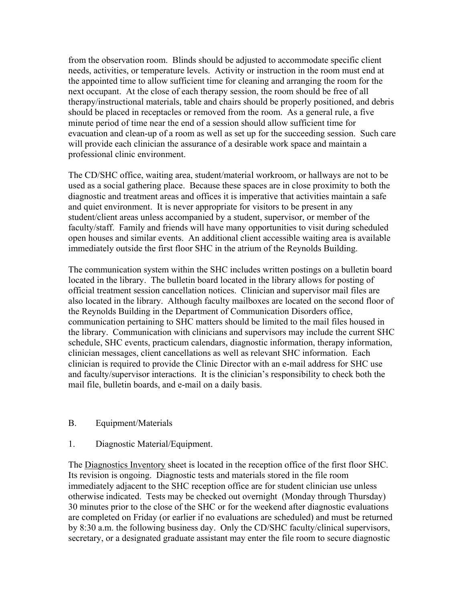from the observation room. Blinds should be adjusted to accommodate specific client needs, activities, or temperature levels. Activity or instruction in the room must end at the appointed time to allow sufficient time for cleaning and arranging the room for the next occupant. At the close of each therapy session, the room should be free of all therapy/instructional materials, table and chairs should be properly positioned, and debris should be placed in receptacles or removed from the room. As a general rule, a five minute period of time near the end of a session should allow sufficient time for evacuation and clean-up of a room as well as set up for the succeeding session. Such care will provide each clinician the assurance of a desirable work space and maintain a professional clinic environment.

The CD/SHC office, waiting area, student/material workroom, or hallways are not to be used as a social gathering place. Because these spaces are in close proximity to both the diagnostic and treatment areas and offices it is imperative that activities maintain a safe and quiet environment. It is never appropriate for visitors to be present in any student/client areas unless accompanied by a student, supervisor, or member of the faculty/staff. Family and friends will have many opportunities to visit during scheduled open houses and similar events. An additional client accessible waiting area is available immediately outside the first floor SHC in the atrium of the Reynolds Building.

The communication system within the SHC includes written postings on a bulletin board located in the library. The bulletin board located in the library allows for posting of official treatment session cancellation notices. Clinician and supervisor mail files are also located in the library. Although faculty mailboxes are located on the second floor of the Reynolds Building in the Department of Communication Disorders office, communication pertaining to SHC matters should be limited to the mail files housed in the library. Communication with clinicians and supervisors may include the current SHC schedule, SHC events, practicum calendars, diagnostic information, therapy information, clinician messages, client cancellations as well as relevant SHC information. Each clinician is required to provide the Clinic Director with an e-mail address for SHC use and faculty/supervisor interactions. It is the clinician's responsibility to check both the mail file, bulletin boards, and e-mail on a daily basis.

#### B. Equipment/Materials

#### 1. Diagnostic Material/Equipment.

The Diagnostics Inventory sheet is located in the reception office of the first floor SHC. Its revision is ongoing. Diagnostic tests and materials stored in the file room immediately adjacent to the SHC reception office are for student clinician use unless otherwise indicated. Tests may be checked out overnight (Monday through Thursday) 30 minutes prior to the close of the SHC or for the weekend after diagnostic evaluations are completed on Friday (or earlier if no evaluations are scheduled) and must be returned by 8:30 a.m. the following business day. Only the CD/SHC faculty/clinical supervisors, secretary, or a designated graduate assistant may enter the file room to secure diagnostic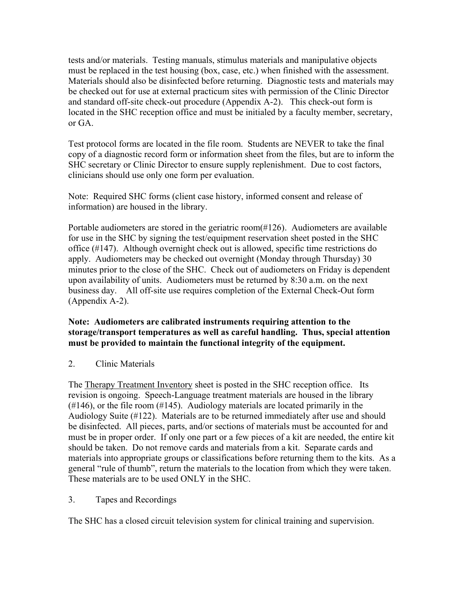tests and/or materials. Testing manuals, stimulus materials and manipulative objects must be replaced in the test housing (box, case, etc.) when finished with the assessment. Materials should also be disinfected before returning. Diagnostic tests and materials may be checked out for use at external practicum sites with permission of the Clinic Director and standard off-site check-out procedure (Appendix A-2). This check-out form is located in the SHC reception office and must be initialed by a faculty member, secretary, or GA.

Test protocol forms are located in the file room. Students are NEVER to take the final copy of a diagnostic record form or information sheet from the files, but are to inform the SHC secretary or Clinic Director to ensure supply replenishment. Due to cost factors, clinicians should use only one form per evaluation.

Note: Required SHC forms (client case history, informed consent and release of information) are housed in the library.

Portable audiometers are stored in the geriatric room(#126). Audiometers are available for use in the SHC by signing the test/equipment reservation sheet posted in the SHC office (#147). Although overnight check out is allowed, specific time restrictions do apply. Audiometers may be checked out overnight (Monday through Thursday) 30 minutes prior to the close of the SHC. Check out of audiometers on Friday is dependent upon availability of units. Audiometers must be returned by 8:30 a.m. on the next business day. All off-site use requires completion of the External Check-Out form (Appendix A-2).

## **Note: Audiometers are calibrated instruments requiring attention to the storage/transport temperatures as well as careful handling. Thus, special attention must be provided to maintain the functional integrity of the equipment.**

## 2. Clinic Materials

The Therapy Treatment Inventory sheet is posted in the SHC reception office. Its revision is ongoing. Speech-Language treatment materials are housed in the library  $(\#146)$ , or the file room  $(\#145)$ . Audiology materials are located primarily in the Audiology Suite (#122). Materials are to be returned immediately after use and should be disinfected. All pieces, parts, and/or sections of materials must be accounted for and must be in proper order. If only one part or a few pieces of a kit are needed, the entire kit should be taken. Do not remove cards and materials from a kit. Separate cards and materials into appropriate groups or classifications before returning them to the kits. As a general "rule of thumb", return the materials to the location from which they were taken. These materials are to be used ONLY in the SHC.

## 3. Tapes and Recordings

The SHC has a closed circuit television system for clinical training and supervision.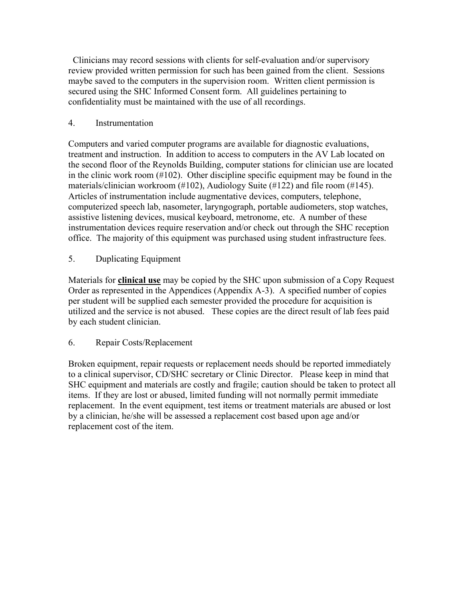Clinicians may record sessions with clients for self-evaluation and/or supervisory review provided written permission for such has been gained from the client. Sessions maybe saved to the computers in the supervision room. Written client permission is secured using the SHC Informed Consent form. All guidelines pertaining to confidentiality must be maintained with the use of all recordings.

## 4. Instrumentation

Computers and varied computer programs are available for diagnostic evaluations, treatment and instruction. In addition to access to computers in the AV Lab located on the second floor of the Reynolds Building, computer stations for clinician use are located in the clinic work room (#102). Other discipline specific equipment may be found in the materials/clinician workroom (#102), Audiology Suite (#122) and file room (#145). Articles of instrumentation include augmentative devices, computers, telephone, computerized speech lab, nasometer, laryngograph, portable audiometers, stop watches, assistive listening devices, musical keyboard, metronome, etc. A number of these instrumentation devices require reservation and/or check out through the SHC reception office. The majority of this equipment was purchased using student infrastructure fees.

5. Duplicating Equipment

Materials for **clinical use** may be copied by the SHC upon submission of a Copy Request Order as represented in the Appendices (Appendix A-3). A specified number of copies per student will be supplied each semester provided the procedure for acquisition is utilized and the service is not abused. These copies are the direct result of lab fees paid by each student clinician.

## 6. Repair Costs/Replacement

Broken equipment, repair requests or replacement needs should be reported immediately to a clinical supervisor, CD/SHC secretary or Clinic Director. Please keep in mind that SHC equipment and materials are costly and fragile; caution should be taken to protect all items. If they are lost or abused, limited funding will not normally permit immediate replacement. In the event equipment, test items or treatment materials are abused or lost by a clinician, he/she will be assessed a replacement cost based upon age and/or replacement cost of the item.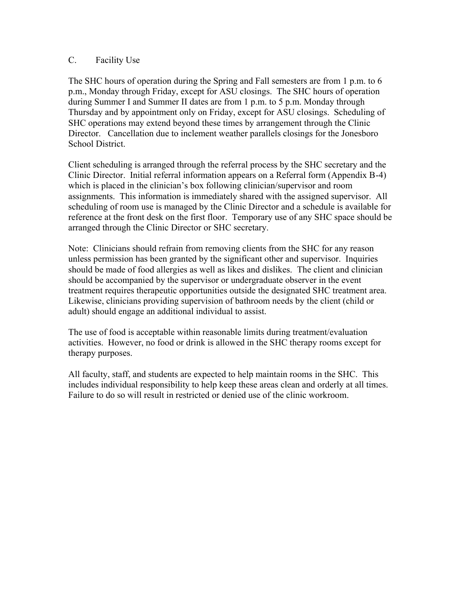## C. Facility Use

The SHC hours of operation during the Spring and Fall semesters are from 1 p.m. to 6 p.m., Monday through Friday, except for ASU closings. The SHC hours of operation during Summer I and Summer II dates are from 1 p.m. to 5 p.m. Monday through Thursday and by appointment only on Friday, except for ASU closings. Scheduling of SHC operations may extend beyond these times by arrangement through the Clinic Director. Cancellation due to inclement weather parallels closings for the Jonesboro School District.

Client scheduling is arranged through the referral process by the SHC secretary and the Clinic Director. Initial referral information appears on a Referral form (Appendix B-4) which is placed in the clinician's box following clinician/supervisor and room assignments. This information is immediately shared with the assigned supervisor. All scheduling of room use is managed by the Clinic Director and a schedule is available for reference at the front desk on the first floor. Temporary use of any SHC space should be arranged through the Clinic Director or SHC secretary.

Note: Clinicians should refrain from removing clients from the SHC for any reason unless permission has been granted by the significant other and supervisor. Inquiries should be made of food allergies as well as likes and dislikes. The client and clinician should be accompanied by the supervisor or undergraduate observer in the event treatment requires therapeutic opportunities outside the designated SHC treatment area. Likewise, clinicians providing supervision of bathroom needs by the client (child or adult) should engage an additional individual to assist.

The use of food is acceptable within reasonable limits during treatment/evaluation activities. However, no food or drink is allowed in the SHC therapy rooms except for therapy purposes.

All faculty, staff, and students are expected to help maintain rooms in the SHC. This includes individual responsibility to help keep these areas clean and orderly at all times. Failure to do so will result in restricted or denied use of the clinic workroom.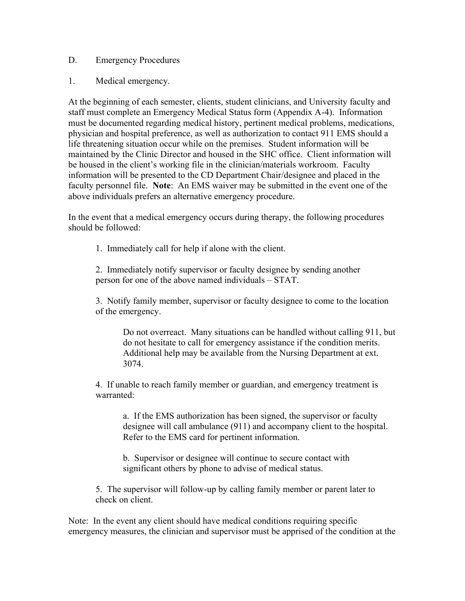## D. Emergency Procedures

1. Medical emergency.

At the beginning of each semester, clients, student clinicians, and University faculty and staff must complete an Emergency Medical Status form (Appendix A-4). Information must be documented regarding medical history, pertinent medical problems, medications, physician and hospital preference, as well as authorization to contact 911 EMS should a life threatening situation occur while on the premises. Student information will be maintained by the Clinic Director and housed in the SHC office. Client information will be housed in the client's working file in the clinician/materials workroom. Faculty information will be presented to the CD Department Chair/designee and placed in the faculty personnel file. **Note**: An EMS waiver may be submitted in the event one of the above individuals prefers an alternative emergency procedure.

In the event that a medical emergency occurs during therapy, the following procedures should be followed:

1. Immediately call for help if alone with the client.

2. Immediately notify supervisor or faculty designee by sending another person for one of the above named individuals – STAT.

3. Notify family member, supervisor or faculty designee to come to the location of the emergency.

Do not overreact. Many situations can be handled without calling 911, but do not hesitate to call for emergency assistance if the condition merits. Additional help may be available from the Nursing Department at ext. 3074.

4. If unable to reach family member or guardian, and emergency treatment is warranted:

a. If the EMS authorization has been signed, the supervisor or faculty designee will call ambulance (911) and accompany client to the hospital. Refer to the EMS card for pertinent information.

b. Supervisor or designee will continue to secure contact with significant others by phone to advise of medical status.

5. The supervisor will follow-up by calling family member or parent later to check on client.

Note: In the event any client should have medical conditions requiring specific emergency measures, the clinician and supervisor must be apprised of the condition at the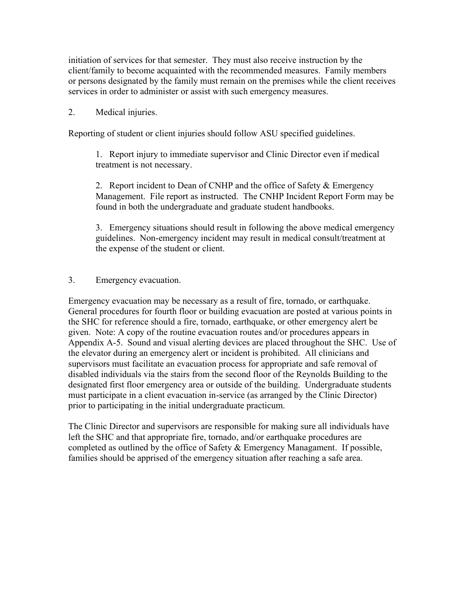initiation of services for that semester. They must also receive instruction by the client/family to become acquainted with the recommended measures. Family members or persons designated by the family must remain on the premises while the client receives services in order to administer or assist with such emergency measures.

## 2. Medical injuries.

Reporting of student or client injuries should follow ASU specified guidelines.

1. Report injury to immediate supervisor and Clinic Director even if medical treatment is not necessary.

2. Report incident to Dean of CNHP and the office of Safety & Emergency Management. File report as instructed. The CNHP Incident Report Form may be found in both the undergraduate and graduate student handbooks.

3. Emergency situations should result in following the above medical emergency guidelines. Non-emergency incident may result in medical consult/treatment at the expense of the student or client.

## 3. Emergency evacuation.

Emergency evacuation may be necessary as a result of fire, tornado, or earthquake. General procedures for fourth floor or building evacuation are posted at various points in the SHC for reference should a fire, tornado, earthquake, or other emergency alert be given. Note: A copy of the routine evacuation routes and/or procedures appears in Appendix A-5. Sound and visual alerting devices are placed throughout the SHC. Use of the elevator during an emergency alert or incident is prohibited. All clinicians and supervisors must facilitate an evacuation process for appropriate and safe removal of disabled individuals via the stairs from the second floor of the Reynolds Building to the designated first floor emergency area or outside of the building. Undergraduate students must participate in a client evacuation in-service (as arranged by the Clinic Director) prior to participating in the initial undergraduate practicum.

The Clinic Director and supervisors are responsible for making sure all individuals have left the SHC and that appropriate fire, tornado, and/or earthquake procedures are completed as outlined by the office of Safety  $&$  Emergency Managament. If possible, families should be apprised of the emergency situation after reaching a safe area.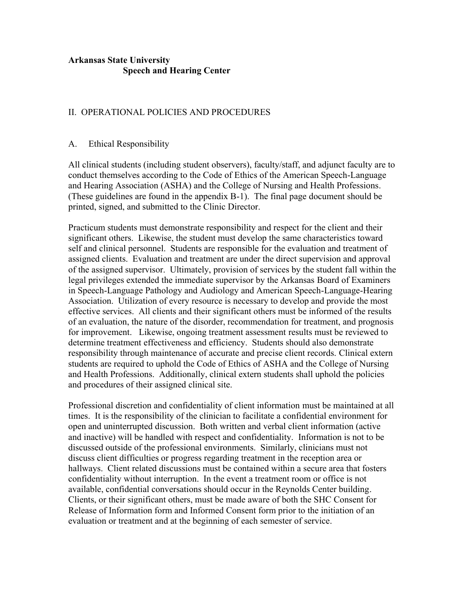## **Arkansas State University Speech and Hearing Center**

## II. OPERATIONAL POLICIES AND PROCEDURES

#### A. Ethical Responsibility

All clinical students (including student observers), faculty/staff, and adjunct faculty are to conduct themselves according to the Code of Ethics of the American Speech-Language and Hearing Association (ASHA) and the College of Nursing and Health Professions. (These guidelines are found in the appendix B-1). The final page document should be printed, signed, and submitted to the Clinic Director.

Practicum students must demonstrate responsibility and respect for the client and their significant others. Likewise, the student must develop the same characteristics toward self and clinical personnel. Students are responsible for the evaluation and treatment of assigned clients. Evaluation and treatment are under the direct supervision and approval of the assigned supervisor. Ultimately, provision of services by the student fall within the legal privileges extended the immediate supervisor by the Arkansas Board of Examiners in Speech-Language Pathology and Audiology and American Speech-Language-Hearing Association. Utilization of every resource is necessary to develop and provide the most effective services. All clients and their significant others must be informed of the results of an evaluation, the nature of the disorder, recommendation for treatment, and prognosis for improvement. Likewise, ongoing treatment assessment results must be reviewed to determine treatment effectiveness and efficiency. Students should also demonstrate responsibility through maintenance of accurate and precise client records. Clinical extern students are required to uphold the Code of Ethics of ASHA and the College of Nursing and Health Professions. Additionally, clinical extern students shall uphold the policies and procedures of their assigned clinical site.

Professional discretion and confidentiality of client information must be maintained at all times. It is the responsibility of the clinician to facilitate a confidential environment for open and uninterrupted discussion. Both written and verbal client information (active and inactive) will be handled with respect and confidentiality. Information is not to be discussed outside of the professional environments. Similarly, clinicians must not discuss client difficulties or progress regarding treatment in the reception area or hallways. Client related discussions must be contained within a secure area that fosters confidentiality without interruption. In the event a treatment room or office is not available, confidential conversations should occur in the Reynolds Center building. Clients, or their significant others, must be made aware of both the SHC Consent for Release of Information form and Informed Consent form prior to the initiation of an evaluation or treatment and at the beginning of each semester of service.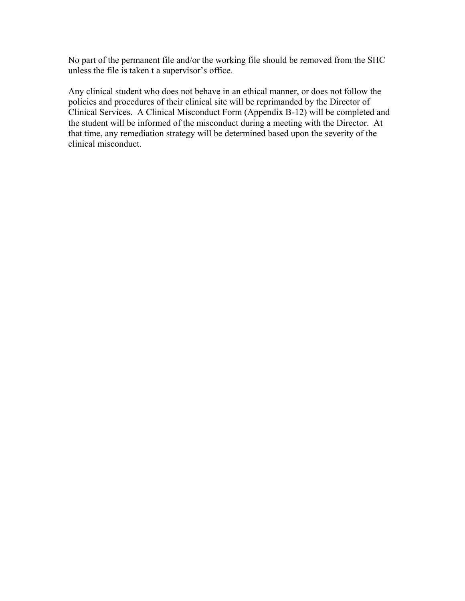No part of the permanent file and/or the working file should be removed from the SHC unless the file is taken t a supervisor's office.

Any clinical student who does not behave in an ethical manner, or does not follow the policies and procedures of their clinical site will be reprimanded by the Director of Clinical Services. A Clinical Misconduct Form (Appendix B-12) will be completed and the student will be informed of the misconduct during a meeting with the Director. At that time, any remediation strategy will be determined based upon the severity of the clinical misconduct.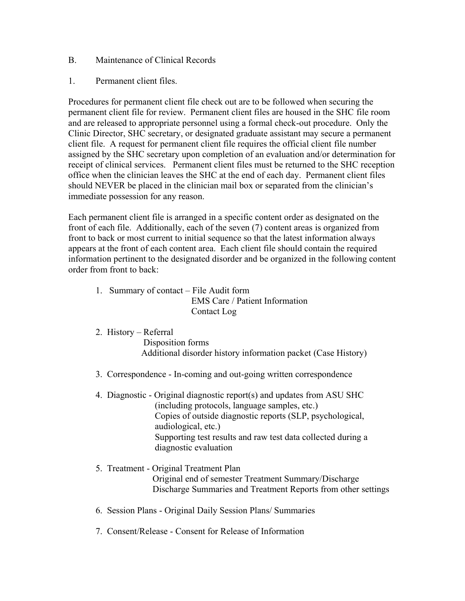- B. Maintenance of Clinical Records
- 1. Permanent client files.

Procedures for permanent client file check out are to be followed when securing the permanent client file for review. Permanent client files are housed in the SHC file room and are released to appropriate personnel using a formal check-out procedure. Only the Clinic Director, SHC secretary, or designated graduate assistant may secure a permanent client file. A request for permanent client file requires the official client file number assigned by the SHC secretary upon completion of an evaluation and/or determination for receipt of clinical services. Permanent client files must be returned to the SHC reception office when the clinician leaves the SHC at the end of each day. Permanent client files should NEVER be placed in the clinician mail box or separated from the clinician's immediate possession for any reason.

Each permanent client file is arranged in a specific content order as designated on the front of each file. Additionally, each of the seven (7) content areas is organized from front to back or most current to initial sequence so that the latest information always appears at the front of each content area. Each client file should contain the required information pertinent to the designated disorder and be organized in the following content order from front to back:

- 1. Summary of contact File Audit form EMS Care / Patient Information Contact Log
- 2. History Referral

 Disposition forms Additional disorder history information packet (Case History)

- 3. Correspondence In-coming and out-going written correspondence
- 4. Diagnostic Original diagnostic report(s) and updates from ASU SHC (including protocols, language samples, etc.) Copies of outside diagnostic reports (SLP, psychological, audiological, etc.) Supporting test results and raw test data collected during a diagnostic evaluation
- 5. Treatment Original Treatment Plan Original end of semester Treatment Summary/Discharge Discharge Summaries and Treatment Reports from other settings
- 6. Session Plans Original Daily Session Plans/ Summaries
- 7. Consent/Release Consent for Release of Information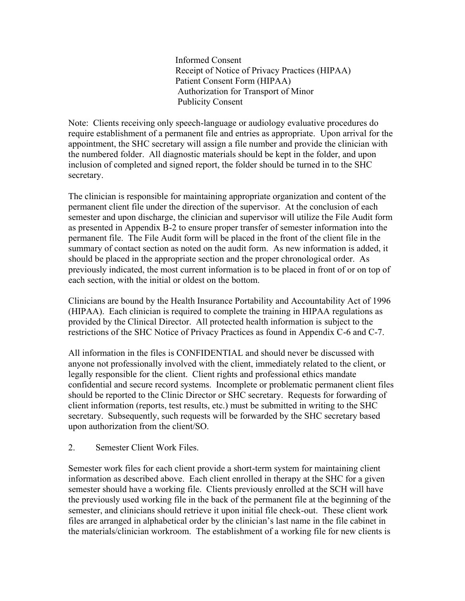Informed Consent Receipt of Notice of Privacy Practices (HIPAA) Patient Consent Form (HIPAA) Authorization for Transport of Minor Publicity Consent

Note: Clients receiving only speech-language or audiology evaluative procedures do require establishment of a permanent file and entries as appropriate. Upon arrival for the appointment, the SHC secretary will assign a file number and provide the clinician with the numbered folder. All diagnostic materials should be kept in the folder, and upon inclusion of completed and signed report, the folder should be turned in to the SHC secretary.

The clinician is responsible for maintaining appropriate organization and content of the permanent client file under the direction of the supervisor. At the conclusion of each semester and upon discharge, the clinician and supervisor will utilize the File Audit form as presented in Appendix B-2 to ensure proper transfer of semester information into the permanent file. The File Audit form will be placed in the front of the client file in the summary of contact section as noted on the audit form. As new information is added, it should be placed in the appropriate section and the proper chronological order. As previously indicated, the most current information is to be placed in front of or on top of each section, with the initial or oldest on the bottom.

Clinicians are bound by the Health Insurance Portability and Accountability Act of 1996 (HIPAA). Each clinician is required to complete the training in HIPAA regulations as provided by the Clinical Director. All protected health information is subject to the restrictions of the SHC Notice of Privacy Practices as found in Appendix C-6 and C-7.

All information in the files is CONFIDENTIAL and should never be discussed with anyone not professionally involved with the client, immediately related to the client, or legally responsible for the client. Client rights and professional ethics mandate confidential and secure record systems. Incomplete or problematic permanent client files should be reported to the Clinic Director or SHC secretary. Requests for forwarding of client information (reports, test results, etc.) must be submitted in writing to the SHC secretary. Subsequently, such requests will be forwarded by the SHC secretary based upon authorization from the client/SO.

2. Semester Client Work Files.

Semester work files for each client provide a short-term system for maintaining client information as described above. Each client enrolled in therapy at the SHC for a given semester should have a working file. Clients previously enrolled at the SCH will have the previously used working file in the back of the permanent file at the beginning of the semester, and clinicians should retrieve it upon initial file check-out. These client work files are arranged in alphabetical order by the clinician's last name in the file cabinet in the materials/clinician workroom. The establishment of a working file for new clients is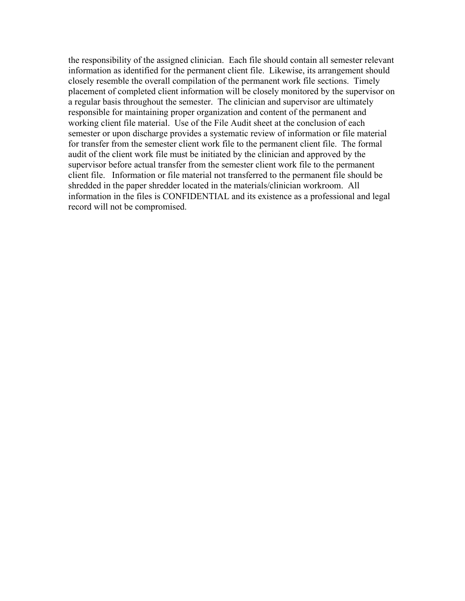the responsibility of the assigned clinician. Each file should contain all semester relevant information as identified for the permanent client file. Likewise, its arrangement should closely resemble the overall compilation of the permanent work file sections. Timely placement of completed client information will be closely monitored by the supervisor on a regular basis throughout the semester. The clinician and supervisor are ultimately responsible for maintaining proper organization and content of the permanent and working client file material. Use of the File Audit sheet at the conclusion of each semester or upon discharge provides a systematic review of information or file material for transfer from the semester client work file to the permanent client file. The formal audit of the client work file must be initiated by the clinician and approved by the supervisor before actual transfer from the semester client work file to the permanent client file. Information or file material not transferred to the permanent file should be shredded in the paper shredder located in the materials/clinician workroom. All information in the files is CONFIDENTIAL and its existence as a professional and legal record will not be compromised.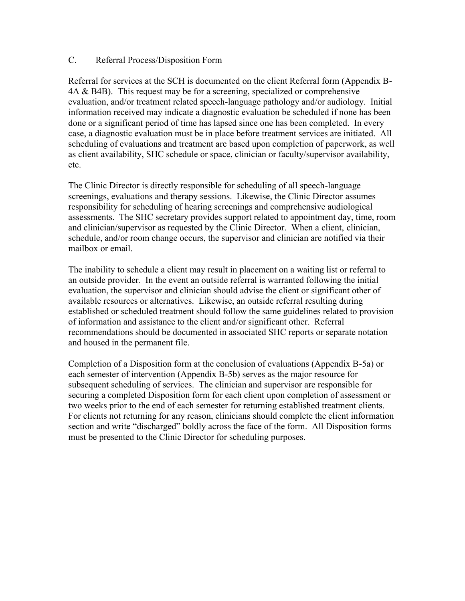## C. Referral Process/Disposition Form

Referral for services at the SCH is documented on the client Referral form (Appendix B-4A & B4B). This request may be for a screening, specialized or comprehensive evaluation, and/or treatment related speech-language pathology and/or audiology. Initial information received may indicate a diagnostic evaluation be scheduled if none has been done or a significant period of time has lapsed since one has been completed. In every case, a diagnostic evaluation must be in place before treatment services are initiated. All scheduling of evaluations and treatment are based upon completion of paperwork, as well as client availability, SHC schedule or space, clinician or faculty/supervisor availability, etc.

The Clinic Director is directly responsible for scheduling of all speech-language screenings, evaluations and therapy sessions. Likewise, the Clinic Director assumes responsibility for scheduling of hearing screenings and comprehensive audiological assessments. The SHC secretary provides support related to appointment day, time, room and clinician/supervisor as requested by the Clinic Director. When a client, clinician, schedule, and/or room change occurs, the supervisor and clinician are notified via their mailbox or email.

The inability to schedule a client may result in placement on a waiting list or referral to an outside provider. In the event an outside referral is warranted following the initial evaluation, the supervisor and clinician should advise the client or significant other of available resources or alternatives. Likewise, an outside referral resulting during established or scheduled treatment should follow the same guidelines related to provision of information and assistance to the client and/or significant other. Referral recommendations should be documented in associated SHC reports or separate notation and housed in the permanent file.

Completion of a Disposition form at the conclusion of evaluations (Appendix B-5a) or each semester of intervention (Appendix B-5b) serves as the major resource for subsequent scheduling of services. The clinician and supervisor are responsible for securing a completed Disposition form for each client upon completion of assessment or two weeks prior to the end of each semester for returning established treatment clients. For clients not returning for any reason, clinicians should complete the client information section and write "discharged" boldly across the face of the form. All Disposition forms must be presented to the Clinic Director for scheduling purposes.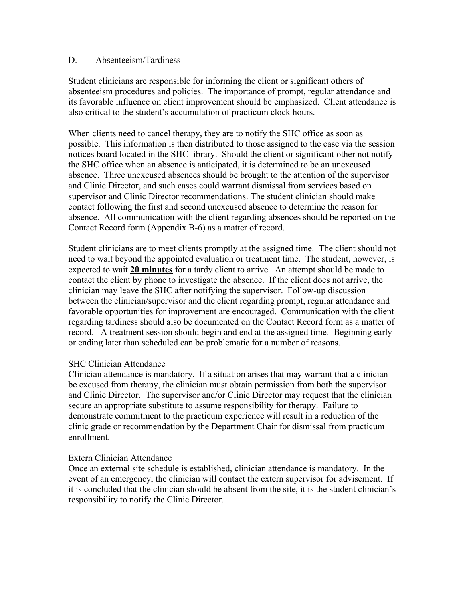#### D. Absenteeism/Tardiness

Student clinicians are responsible for informing the client or significant others of absenteeism procedures and policies. The importance of prompt, regular attendance and its favorable influence on client improvement should be emphasized. Client attendance is also critical to the student's accumulation of practicum clock hours.

When clients need to cancel therapy, they are to notify the SHC office as soon as possible. This information is then distributed to those assigned to the case via the session notices board located in the SHC library. Should the client or significant other not notify the SHC office when an absence is anticipated, it is determined to be an unexcused absence. Three unexcused absences should be brought to the attention of the supervisor and Clinic Director, and such cases could warrant dismissal from services based on supervisor and Clinic Director recommendations. The student clinician should make contact following the first and second unexcused absence to determine the reason for absence. All communication with the client regarding absences should be reported on the Contact Record form (Appendix B-6) as a matter of record.

Student clinicians are to meet clients promptly at the assigned time. The client should not need to wait beyond the appointed evaluation or treatment time. The student, however, is expected to wait **20 minutes** for a tardy client to arrive. An attempt should be made to contact the client by phone to investigate the absence. If the client does not arrive, the clinician may leave the SHC after notifying the supervisor. Follow-up discussion between the clinician/supervisor and the client regarding prompt, regular attendance and favorable opportunities for improvement are encouraged. Communication with the client regarding tardiness should also be documented on the Contact Record form as a matter of record. A treatment session should begin and end at the assigned time. Beginning early or ending later than scheduled can be problematic for a number of reasons.

#### SHC Clinician Attendance

Clinician attendance is mandatory. If a situation arises that may warrant that a clinician be excused from therapy, the clinician must obtain permission from both the supervisor and Clinic Director. The supervisor and/or Clinic Director may request that the clinician secure an appropriate substitute to assume responsibility for therapy. Failure to demonstrate commitment to the practicum experience will result in a reduction of the clinic grade or recommendation by the Department Chair for dismissal from practicum enrollment.

#### Extern Clinician Attendance

Once an external site schedule is established, clinician attendance is mandatory. In the event of an emergency, the clinician will contact the extern supervisor for advisement. If it is concluded that the clinician should be absent from the site, it is the student clinician's responsibility to notify the Clinic Director.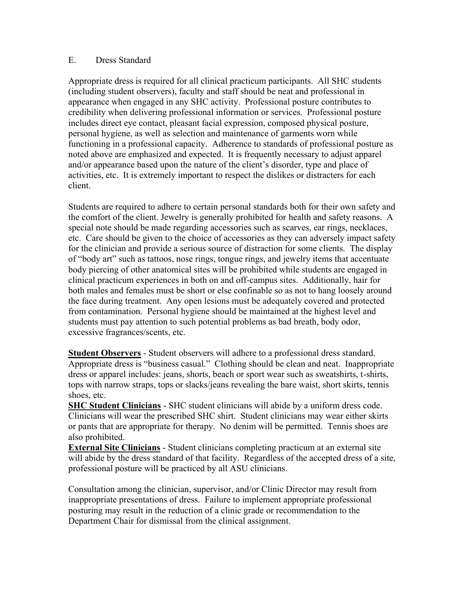#### E. Dress Standard

Appropriate dress is required for all clinical practicum participants. All SHC students (including student observers), faculty and staff should be neat and professional in appearance when engaged in any SHC activity. Professional posture contributes to credibility when delivering professional information or services. Professional posture includes direct eye contact, pleasant facial expression, composed physical posture, personal hygiene, as well as selection and maintenance of garments worn while functioning in a professional capacity. Adherence to standards of professional posture as noted above are emphasized and expected. It is frequently necessary to adjust apparel and/or appearance based upon the nature of the client's disorder, type and place of activities, etc. It is extremely important to respect the dislikes or distracters for each client.

Students are required to adhere to certain personal standards both for their own safety and the comfort of the client. Jewelry is generally prohibited for health and safety reasons. A special note should be made regarding accessories such as scarves, ear rings, necklaces, etc. Care should be given to the choice of accessories as they can adversely impact safety for the clinician and provide a serious source of distraction for some clients. The display of "body art" such as tattoos, nose rings, tongue rings, and jewelry items that accentuate body piercing of other anatomical sites will be prohibited while students are engaged in clinical practicum experiences in both on and off-campus sites. Additionally, hair for both males and females must be short or else confinable so as not to hang loosely around the face during treatment. Any open lesions must be adequately covered and protected from contamination. Personal hygiene should be maintained at the highest level and students must pay attention to such potential problems as bad breath, body odor, excessive fragrances/scents, etc.

**Student Observers** - Student observers will adhere to a professional dress standard. Appropriate dress is "business casual." Clothing should be clean and neat. Inappropriate dress or apparel includes: jeans, shorts, beach or sport wear such as sweatshirts, t-shirts, tops with narrow straps, tops or slacks/jeans revealing the bare waist, short skirts, tennis shoes, etc.

**SHC Student Clinicians** - SHC student clinicians will abide by a uniform dress code. Clinicians will wear the prescribed SHC shirt. Student clinicians may wear either skirts or pants that are appropriate for therapy. No denim will be permitted. Tennis shoes are also prohibited.

**External Site Clinicians** - Student clinicians completing practicum at an external site will abide by the dress standard of that facility. Regardless of the accepted dress of a site, professional posture will be practiced by all ASU clinicians.

Consultation among the clinician, supervisor, and/or Clinic Director may result from inappropriate presentations of dress. Failure to implement appropriate professional posturing may result in the reduction of a clinic grade or recommendation to the Department Chair for dismissal from the clinical assignment.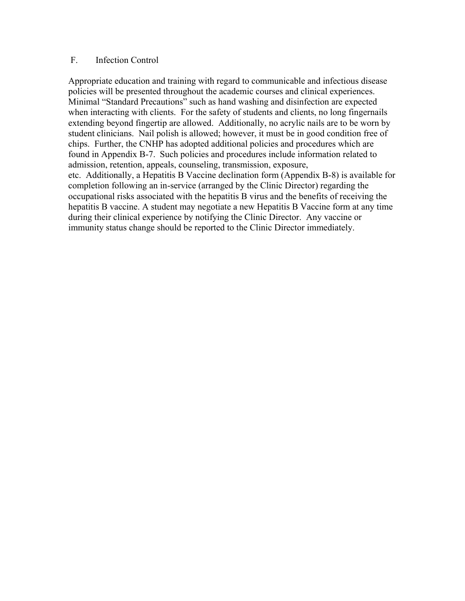#### F. Infection Control

Appropriate education and training with regard to communicable and infectious disease policies will be presented throughout the academic courses and clinical experiences. Minimal "Standard Precautions" such as hand washing and disinfection are expected when interacting with clients. For the safety of students and clients, no long fingernails extending beyond fingertip are allowed. Additionally, no acrylic nails are to be worn by student clinicians. Nail polish is allowed; however, it must be in good condition free of chips. Further, the CNHP has adopted additional policies and procedures which are found in Appendix B-7. Such policies and procedures include information related to admission, retention, appeals, counseling, transmission, exposure, etc. Additionally, a Hepatitis B Vaccine declination form (Appendix B-8) is available for completion following an in-service (arranged by the Clinic Director) regarding the occupational risks associated with the hepatitis B virus and the benefits of receiving the hepatitis B vaccine. A student may negotiate a new Hepatitis B Vaccine form at any time during their clinical experience by notifying the Clinic Director. Any vaccine or immunity status change should be reported to the Clinic Director immediately.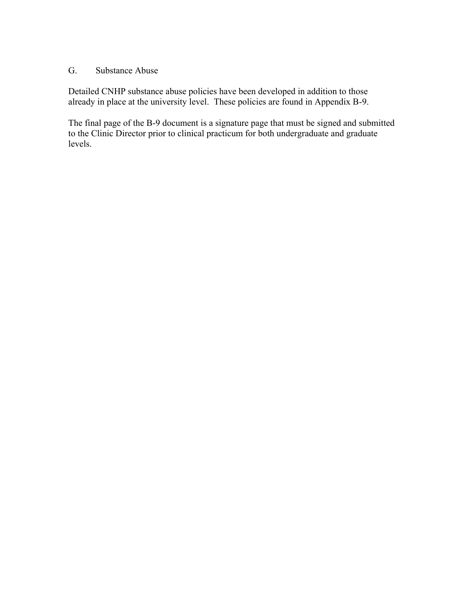## G. Substance Abuse

Detailed CNHP substance abuse policies have been developed in addition to those already in place at the university level. These policies are found in Appendix B-9.

The final page of the B-9 document is a signature page that must be signed and submitted to the Clinic Director prior to clinical practicum for both undergraduate and graduate levels.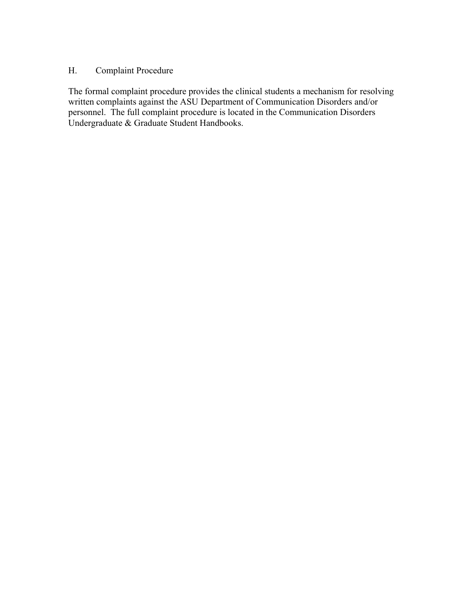## H. Complaint Procedure

The formal complaint procedure provides the clinical students a mechanism for resolving written complaints against the ASU Department of Communication Disorders and/or personnel. The full complaint procedure is located in the Communication Disorders Undergraduate & Graduate Student Handbooks.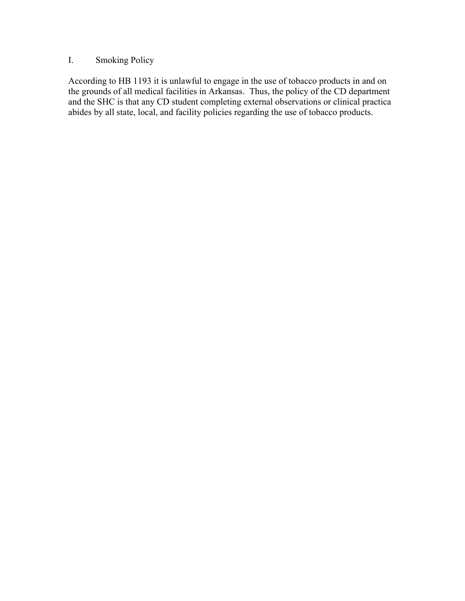## I. Smoking Policy

According to HB 1193 it is unlawful to engage in the use of tobacco products in and on the grounds of all medical facilities in Arkansas. Thus, the policy of the CD department and the SHC is that any CD student completing external observations or clinical practica abides by all state, local, and facility policies regarding the use of tobacco products.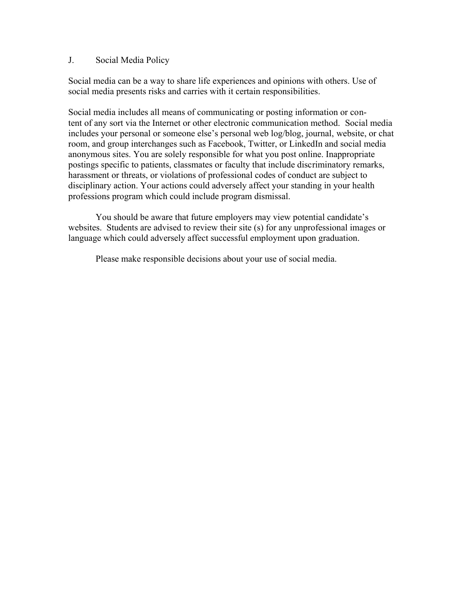#### J. Social Media Policy

Social media can be a way to share life experiences and opinions with others. Use of social media presents risks and carries with it certain responsibilities.

Social media includes all means of communicating or posting information or content of any sort via the Internet or other electronic communication method. Social media includes your personal or someone else's personal web log/blog, journal, website, or chat room, and group interchanges such as Facebook, Twitter, or LinkedIn and social media anonymous sites. You are solely responsible for what you post online. Inappropriate postings specific to patients, classmates or faculty that include discriminatory remarks, harassment or threats, or violations of professional codes of conduct are subject to disciplinary action. Your actions could adversely affect your standing in your health professions program which could include program dismissal.

You should be aware that future employers may view potential candidate's websites. Students are advised to review their site (s) for any unprofessional images or language which could adversely affect successful employment upon graduation.

Please make responsible decisions about your use of social media.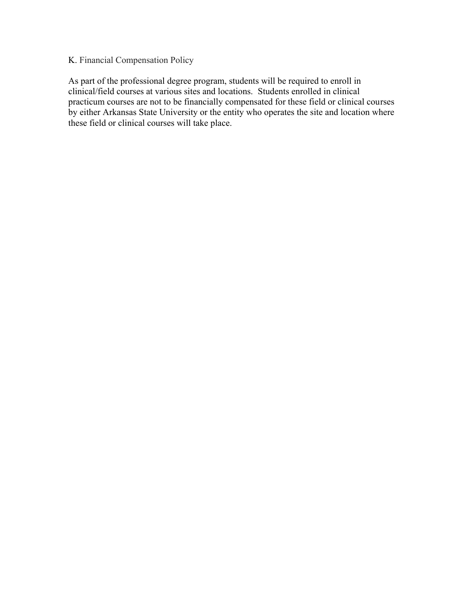## K. Financial Compensation Policy

As part of the professional degree program, students will be required to enroll in clinical/field courses at various sites and locations. Students enrolled in clinical practicum courses are not to be financially compensated for these field or clinical courses by either Arkansas State University or the entity who operates the site and location where these field or clinical courses will take place.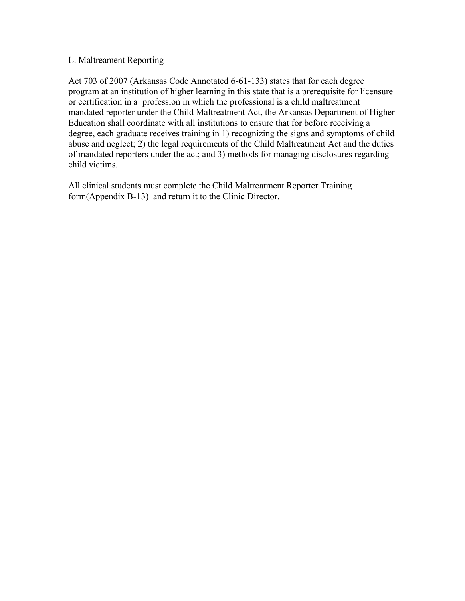## L. Maltreament Reporting

Act 703 of 2007 (Arkansas Code Annotated 6-61-133) states that for each degree program at an institution of higher learning in this state that is a prerequisite for licensure or certification in a profession in which the professional is a child maltreatment mandated reporter under the Child Maltreatment Act, the Arkansas Department of Higher Education shall coordinate with all institutions to ensure that for before receiving a degree, each graduate receives training in 1) recognizing the signs and symptoms of child abuse and neglect; 2) the legal requirements of the Child Maltreatment Act and the duties of mandated reporters under the act; and 3) methods for managing disclosures regarding child victims.

All clinical students must complete the Child Maltreatment Reporter Training form(Appendix B-13) and return it to the Clinic Director.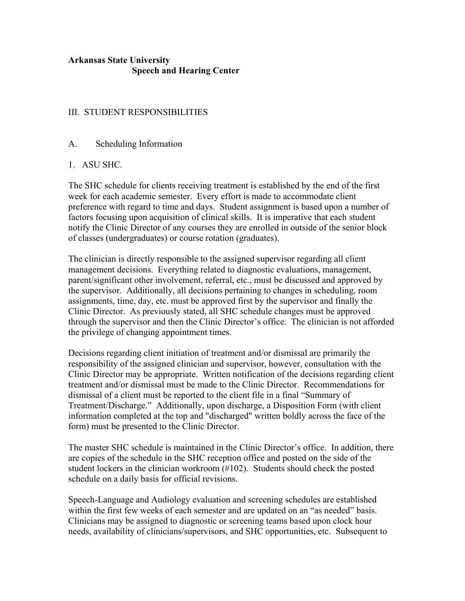## **Arkansas State University Speech and Hearing Center**

## III. STUDENT RESPONSIBILITIES

## A. Scheduling Information

## 1. ASU SHC.

The SHC schedule for clients receiving treatment is established by the end of the first week for each academic semester. Every effort is made to accommodate client preference with regard to time and days. Student assignment is based upon a number of factors focusing upon acquisition of clinical skills. It is imperative that each student notify the Clinic Director of any courses they are enrolled in outside of the senior block of classes (undergraduates) or course rotation (graduates).

The clinician is directly responsible to the assigned supervisor regarding all client management decisions. Everything related to diagnostic evaluations, management, parent/significant other involvement, referral, etc., must be discussed and approved by the supervisor. Additionally, all decisions pertaining to changes in scheduling, room assignments, time, day, etc. must be approved first by the supervisor and finally the Clinic Director. As previously stated, all SHC schedule changes must be approved through the supervisor and then the Clinic Director's office. The clinician is not afforded the privilege of changing appointment times.

Decisions regarding client initiation of treatment and/or dismissal are primarily the responsibility of the assigned clinician and supervisor, however, consultation with the Clinic Director may be appropriate. Written notification of the decisions regarding client treatment and/or dismissal must be made to the Clinic Director. Recommendations for dismissal of a client must be reported to the client file in a final "Summary of Treatment/Discharge." Additionally, upon discharge, a Disposition Form (with client information completed at the top and "discharged" written boldly across the face of the form) must be presented to the Clinic Director.

The master SHC schedule is maintained in the Clinic Director's office. In addition, there are copies of the schedule in the SHC reception office and posted on the side of the student lockers in the clinician workroom (#102). Students should check the posted schedule on a daily basis for official revisions.

Speech-Language and Audiology evaluation and screening schedules are established within the first few weeks of each semester and are updated on an "as needed" basis. Clinicians may be assigned to diagnostic or screening teams based upon clock hour needs, availability of clinicians/supervisors, and SHC opportunities, etc. Subsequent to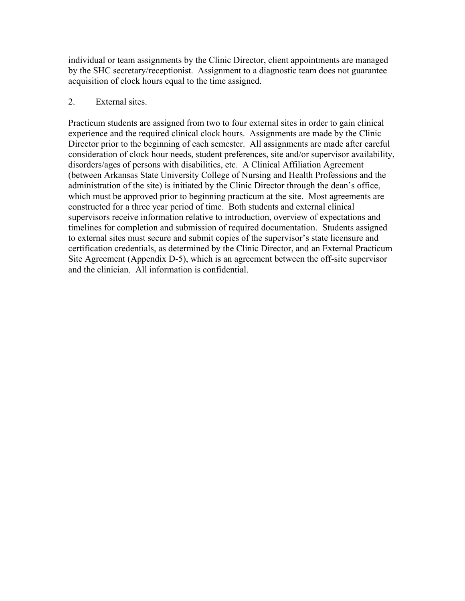individual or team assignments by the Clinic Director, client appointments are managed by the SHC secretary/receptionist. Assignment to a diagnostic team does not guarantee acquisition of clock hours equal to the time assigned.

## 2. External sites.

Practicum students are assigned from two to four external sites in order to gain clinical experience and the required clinical clock hours. Assignments are made by the Clinic Director prior to the beginning of each semester. All assignments are made after careful consideration of clock hour needs, student preferences, site and/or supervisor availability, disorders/ages of persons with disabilities, etc. A Clinical Affiliation Agreement (between Arkansas State University College of Nursing and Health Professions and the administration of the site) is initiated by the Clinic Director through the dean's office, which must be approved prior to beginning practicum at the site. Most agreements are constructed for a three year period of time. Both students and external clinical supervisors receive information relative to introduction, overview of expectations and timelines for completion and submission of required documentation. Students assigned to external sites must secure and submit copies of the supervisor's state licensure and certification credentials, as determined by the Clinic Director, and an External Practicum Site Agreement (Appendix D-5), which is an agreement between the off-site supervisor and the clinician. All information is confidential.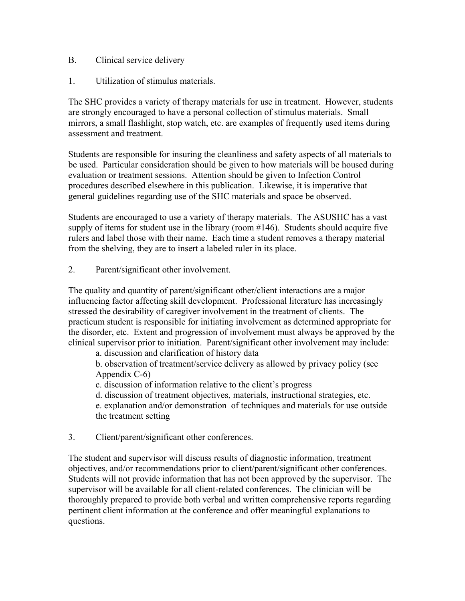- B. Clinical service delivery
- 1. Utilization of stimulus materials.

The SHC provides a variety of therapy materials for use in treatment. However, students are strongly encouraged to have a personal collection of stimulus materials. Small mirrors, a small flashlight, stop watch, etc. are examples of frequently used items during assessment and treatment.

Students are responsible for insuring the cleanliness and safety aspects of all materials to be used. Particular consideration should be given to how materials will be housed during evaluation or treatment sessions. Attention should be given to Infection Control procedures described elsewhere in this publication. Likewise, it is imperative that general guidelines regarding use of the SHC materials and space be observed.

Students are encouraged to use a variety of therapy materials. The ASUSHC has a vast supply of items for student use in the library (room #146). Students should acquire five rulers and label those with their name. Each time a student removes a therapy material from the shelving, they are to insert a labeled ruler in its place.

2. Parent/significant other involvement.

The quality and quantity of parent/significant other/client interactions are a major influencing factor affecting skill development. Professional literature has increasingly stressed the desirability of caregiver involvement in the treatment of clients. The practicum student is responsible for initiating involvement as determined appropriate for the disorder, etc. Extent and progression of involvement must always be approved by the clinical supervisor prior to initiation. Parent/significant other involvement may include:

a. discussion and clarification of history data

b. observation of treatment/service delivery as allowed by privacy policy (see Appendix C-6)

c. discussion of information relative to the client's progress

d. discussion of treatment objectives, materials, instructional strategies, etc.

e. explanation and/or demonstration of techniques and materials for use outside the treatment setting

3. Client/parent/significant other conferences.

The student and supervisor will discuss results of diagnostic information, treatment objectives, and/or recommendations prior to client/parent/significant other conferences. Students will not provide information that has not been approved by the supervisor. The supervisor will be available for all client-related conferences. The clinician will be thoroughly prepared to provide both verbal and written comprehensive reports regarding pertinent client information at the conference and offer meaningful explanations to questions.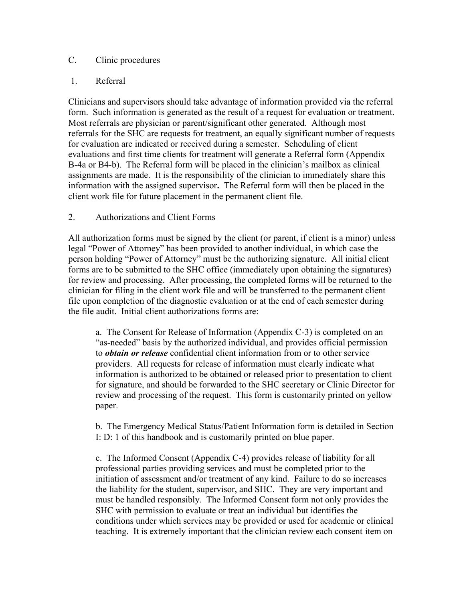## C. Clinic procedures

## 1. Referral

Clinicians and supervisors should take advantage of information provided via the referral form. Such information is generated as the result of a request for evaluation or treatment. Most referrals are physician or parent/significant other generated. Although most referrals for the SHC are requests for treatment, an equally significant number of requests for evaluation are indicated or received during a semester. Scheduling of client evaluations and first time clients for treatment will generate a Referral form (Appendix B-4a or B4-b). The Referral form will be placed in the clinician's mailbox as clinical assignments are made. It is the responsibility of the clinician to immediately share this information with the assigned supervisor**.** The Referral form will then be placed in the client work file for future placement in the permanent client file.

## 2. Authorizations and Client Forms

All authorization forms must be signed by the client (or parent, if client is a minor) unless legal "Power of Attorney" has been provided to another individual, in which case the person holding "Power of Attorney" must be the authorizing signature. All initial client forms are to be submitted to the SHC office (immediately upon obtaining the signatures) for review and processing. After processing, the completed forms will be returned to the clinician for filing in the client work file and will be transferred to the permanent client file upon completion of the diagnostic evaluation or at the end of each semester during the file audit. Initial client authorizations forms are:

a. The Consent for Release of Information (Appendix C-3) is completed on an "as-needed" basis by the authorized individual, and provides official permission to *obtain or release* confidential client information from or to other service providers. All requests for release of information must clearly indicate what information is authorized to be obtained or released prior to presentation to client for signature, and should be forwarded to the SHC secretary or Clinic Director for review and processing of the request. This form is customarily printed on yellow paper.

b. The Emergency Medical Status/Patient Information form is detailed in Section I: D: 1 of this handbook and is customarily printed on blue paper.

c. The Informed Consent (Appendix C-4) provides release of liability for all professional parties providing services and must be completed prior to the initiation of assessment and/or treatment of any kind. Failure to do so increases the liability for the student, supervisor, and SHC. They are very important and must be handled responsibly. The Informed Consent form not only provides the SHC with permission to evaluate or treat an individual but identifies the conditions under which services may be provided or used for academic or clinical teaching. It is extremely important that the clinician review each consent item on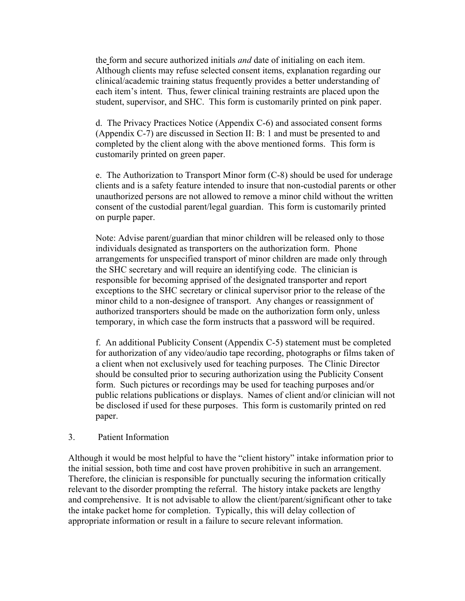the form and secure authorized initials *and* date of initialing on each item. Although clients may refuse selected consent items, explanation regarding our clinical/academic training status frequently provides a better understanding of each item's intent. Thus, fewer clinical training restraints are placed upon the student, supervisor, and SHC. This form is customarily printed on pink paper.

d. The Privacy Practices Notice (Appendix C-6) and associated consent forms (Appendix C-7) are discussed in Section II: B: 1 and must be presented to and completed by the client along with the above mentioned forms. This form is customarily printed on green paper.

e. The Authorization to Transport Minor form (C-8) should be used for underage clients and is a safety feature intended to insure that non-custodial parents or other unauthorized persons are not allowed to remove a minor child without the written consent of the custodial parent/legal guardian. This form is customarily printed on purple paper.

Note: Advise parent/guardian that minor children will be released only to those individuals designated as transporters on the authorization form. Phone arrangements for unspecified transport of minor children are made only through the SHC secretary and will require an identifying code. The clinician is responsible for becoming apprised of the designated transporter and report exceptions to the SHC secretary or clinical supervisor prior to the release of the minor child to a non-designee of transport. Any changes or reassignment of authorized transporters should be made on the authorization form only, unless temporary, in which case the form instructs that a password will be required.

f. An additional Publicity Consent (Appendix C-5) statement must be completed for authorization of any video/audio tape recording, photographs or films taken of a client when not exclusively used for teaching purposes. The Clinic Director should be consulted prior to securing authorization using the Publicity Consent form. Such pictures or recordings may be used for teaching purposes and/or public relations publications or displays. Names of client and/or clinician will not be disclosed if used for these purposes. This form is customarily printed on red paper.

#### 3. Patient Information

Although it would be most helpful to have the "client history" intake information prior to the initial session, both time and cost have proven prohibitive in such an arrangement. Therefore, the clinician is responsible for punctually securing the information critically relevant to the disorder prompting the referral. The history intake packets are lengthy and comprehensive. It is not advisable to allow the client/parent/significant other to take the intake packet home for completion. Typically, this will delay collection of appropriate information or result in a failure to secure relevant information.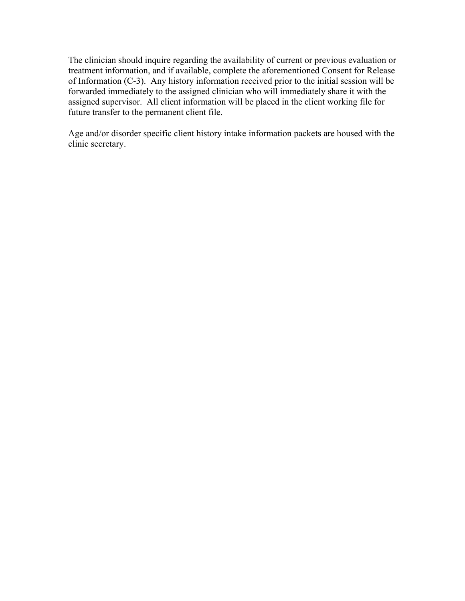The clinician should inquire regarding the availability of current or previous evaluation or treatment information, and if available, complete the aforementioned Consent for Release of Information (C-3). Any history information received prior to the initial session will be forwarded immediately to the assigned clinician who will immediately share it with the assigned supervisor. All client information will be placed in the client working file for future transfer to the permanent client file.

Age and/or disorder specific client history intake information packets are housed with the clinic secretary.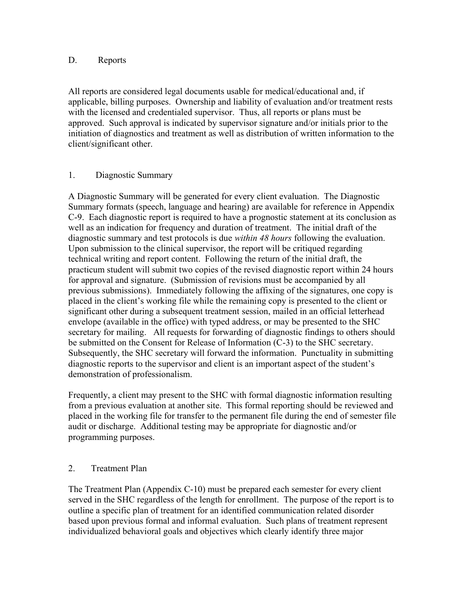## D. Reports

All reports are considered legal documents usable for medical/educational and, if applicable, billing purposes. Ownership and liability of evaluation and/or treatment rests with the licensed and credentialed supervisor. Thus, all reports or plans must be approved. Such approval is indicated by supervisor signature and/or initials prior to the initiation of diagnostics and treatment as well as distribution of written information to the client/significant other.

## 1. Diagnostic Summary

A Diagnostic Summary will be generated for every client evaluation. The Diagnostic Summary formats (speech, language and hearing) are available for reference in Appendix C-9. Each diagnostic report is required to have a prognostic statement at its conclusion as well as an indication for frequency and duration of treatment. The initial draft of the diagnostic summary and test protocols is due *within 48 hours* following the evaluation. Upon submission to the clinical supervisor, the report will be critiqued regarding technical writing and report content. Following the return of the initial draft, the practicum student will submit two copies of the revised diagnostic report within 24 hours for approval and signature. (Submission of revisions must be accompanied by all previous submissions). Immediately following the affixing of the signatures, one copy is placed in the client's working file while the remaining copy is presented to the client or significant other during a subsequent treatment session, mailed in an official letterhead envelope (available in the office) with typed address, or may be presented to the SHC secretary for mailing. All requests for forwarding of diagnostic findings to others should be submitted on the Consent for Release of Information (C-3) to the SHC secretary. Subsequently, the SHC secretary will forward the information. Punctuality in submitting diagnostic reports to the supervisor and client is an important aspect of the student's demonstration of professionalism.

Frequently, a client may present to the SHC with formal diagnostic information resulting from a previous evaluation at another site. This formal reporting should be reviewed and placed in the working file for transfer to the permanent file during the end of semester file audit or discharge. Additional testing may be appropriate for diagnostic and/or programming purposes.

## 2. Treatment Plan

The Treatment Plan (Appendix C-10) must be prepared each semester for every client served in the SHC regardless of the length for enrollment. The purpose of the report is to outline a specific plan of treatment for an identified communication related disorder based upon previous formal and informal evaluation. Such plans of treatment represent individualized behavioral goals and objectives which clearly identify three major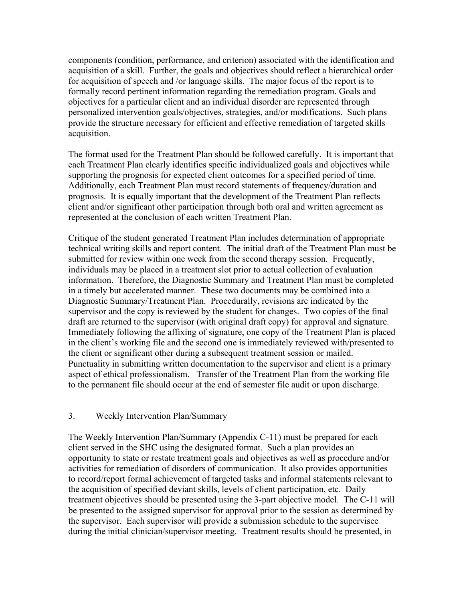components (condition, performance, and criterion) associated with the identification and acquisition of a skill. Further, the goals and objectives should reflect a hierarchical order for acquisition of speech and /or language skills. The major focus of the report is to formally record pertinent information regarding the remediation program. Goals and objectives for a particular client and an individual disorder are represented through personalized intervention goals/objectives, strategies, and/or modifications. Such plans provide the structure necessary for efficient and effective remediation of targeted skills acquisition.

The format used for the Treatment Plan should be followed carefully. It is important that each Treatment Plan clearly identifies specific individualized goals and objectives while supporting the prognosis for expected client outcomes for a specified period of time. Additionally, each Treatment Plan must record statements of frequency/duration and prognosis. It is equally important that the development of the Treatment Plan reflects client and/or significant other participation through both oral and written agreement as represented at the conclusion of each written Treatment Plan.

Critique of the student generated Treatment Plan includes determination of appropriate technical writing skills and report content. The initial draft of the Treatment Plan must be submitted for review within one week from the second therapy session. Frequently, individuals may be placed in a treatment slot prior to actual collection of evaluation information. Therefore, the Diagnostic Summary and Treatment Plan must be completed in a timely but accelerated manner. These two documents may be combined into a Diagnostic Summary/Treatment Plan. Procedurally, revisions are indicated by the supervisor and the copy is reviewed by the student for changes. Two copies of the final draft are returned to the supervisor (with original draft copy) for approval and signature. Immediately following the affixing of signature, one copy of the Treatment Plan is placed in the client's working file and the second one is immediately reviewed with/presented to the client or significant other during a subsequent treatment session or mailed. Punctuality in submitting written documentation to the supervisor and client is a primary aspect of ethical professionalism. Transfer of the Treatment Plan from the working file to the permanent file should occur at the end of semester file audit or upon discharge.

### 3. Weekly Intervention Plan/Summary

The Weekly Intervention Plan/Summary (Appendix C-11) must be prepared for each client served in the SHC using the designated format. Such a plan provides an opportunity to state or restate treatment goals and objectives as well as procedure and/or activities for remediation of disorders of communication. It also provides opportunities to record/report formal achievement of targeted tasks and informal statements relevant to the acquisition of specified deviant skills, levels of client participation, etc. Daily treatment objectives should be presented using the 3-part objective model. The C-11 will be presented to the assigned supervisor for approval prior to the session as determined by the supervisor. Each supervisor will provide a submission schedule to the supervisee during the initial clinician/supervisor meeting. Treatment results should be presented, in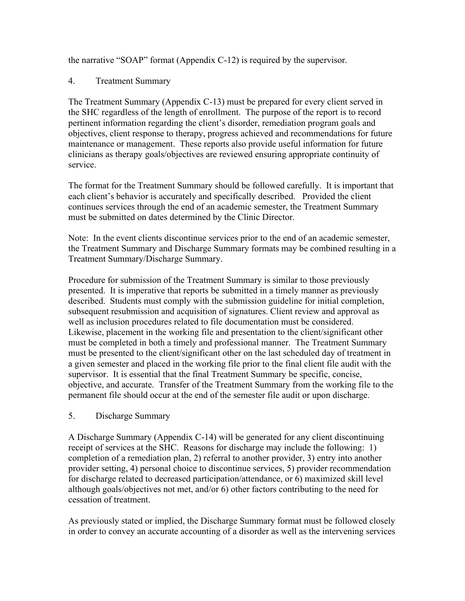the narrative "SOAP" format (Appendix C-12) is required by the supervisor.

## 4. Treatment Summary

The Treatment Summary (Appendix C-13) must be prepared for every client served in the SHC regardless of the length of enrollment. The purpose of the report is to record pertinent information regarding the client's disorder, remediation program goals and objectives, client response to therapy, progress achieved and recommendations for future maintenance or management. These reports also provide useful information for future clinicians as therapy goals/objectives are reviewed ensuring appropriate continuity of service.

The format for the Treatment Summary should be followed carefully. It is important that each client's behavior is accurately and specifically described. Provided the client continues services through the end of an academic semester, the Treatment Summary must be submitted on dates determined by the Clinic Director.

Note: In the event clients discontinue services prior to the end of an academic semester, the Treatment Summary and Discharge Summary formats may be combined resulting in a Treatment Summary/Discharge Summary.

Procedure for submission of the Treatment Summary is similar to those previously presented. It is imperative that reports be submitted in a timely manner as previously described. Students must comply with the submission guideline for initial completion, subsequent resubmission and acquisition of signatures. Client review and approval as well as inclusion procedures related to file documentation must be considered. Likewise, placement in the working file and presentation to the client/significant other must be completed in both a timely and professional manner. The Treatment Summary must be presented to the client/significant other on the last scheduled day of treatment in a given semester and placed in the working file prior to the final client file audit with the supervisor. It is essential that the final Treatment Summary be specific, concise, objective, and accurate. Transfer of the Treatment Summary from the working file to the permanent file should occur at the end of the semester file audit or upon discharge.

#### 5. Discharge Summary

A Discharge Summary (Appendix C-14) will be generated for any client discontinuing receipt of services at the SHC. Reasons for discharge may include the following: 1) completion of a remediation plan, 2) referral to another provider, 3) entry into another provider setting, 4) personal choice to discontinue services, 5) provider recommendation for discharge related to decreased participation/attendance, or 6) maximized skill level although goals/objectives not met, and/or 6) other factors contributing to the need for cessation of treatment.

As previously stated or implied, the Discharge Summary format must be followed closely in order to convey an accurate accounting of a disorder as well as the intervening services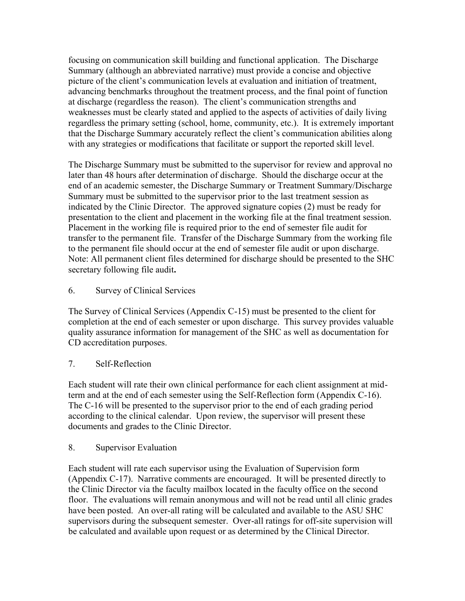focusing on communication skill building and functional application. The Discharge Summary (although an abbreviated narrative) must provide a concise and objective picture of the client's communication levels at evaluation and initiation of treatment, advancing benchmarks throughout the treatment process, and the final point of function at discharge (regardless the reason). The client's communication strengths and weaknesses must be clearly stated and applied to the aspects of activities of daily living regardless the primary setting (school, home, community, etc.). It is extremely important that the Discharge Summary accurately reflect the client's communication abilities along with any strategies or modifications that facilitate or support the reported skill level.

The Discharge Summary must be submitted to the supervisor for review and approval no later than 48 hours after determination of discharge. Should the discharge occur at the end of an academic semester, the Discharge Summary or Treatment Summary/Discharge Summary must be submitted to the supervisor prior to the last treatment session as indicated by the Clinic Director. The approved signature copies (2) must be ready for presentation to the client and placement in the working file at the final treatment session. Placement in the working file is required prior to the end of semester file audit for transfer to the permanent file. Transfer of the Discharge Summary from the working file to the permanent file should occur at the end of semester file audit or upon discharge. Note: All permanent client files determined for discharge should be presented to the SHC secretary following file audit**.** 

6. Survey of Clinical Services

The Survey of Clinical Services (Appendix C-15) must be presented to the client for completion at the end of each semester or upon discharge. This survey provides valuable quality assurance information for management of the SHC as well as documentation for CD accreditation purposes.

## 7. Self-Reflection

Each student will rate their own clinical performance for each client assignment at midterm and at the end of each semester using the Self-Reflection form (Appendix C-16). The C-16 will be presented to the supervisor prior to the end of each grading period according to the clinical calendar. Upon review, the supervisor will present these documents and grades to the Clinic Director.

## 8. Supervisor Evaluation

Each student will rate each supervisor using the Evaluation of Supervision form (Appendix C-17). Narrative comments are encouraged. It will be presented directly to the Clinic Director via the faculty mailbox located in the faculty office on the second floor. The evaluations will remain anonymous and will not be read until all clinic grades have been posted. An over-all rating will be calculated and available to the ASU SHC supervisors during the subsequent semester. Over-all ratings for off-site supervision will be calculated and available upon request or as determined by the Clinical Director.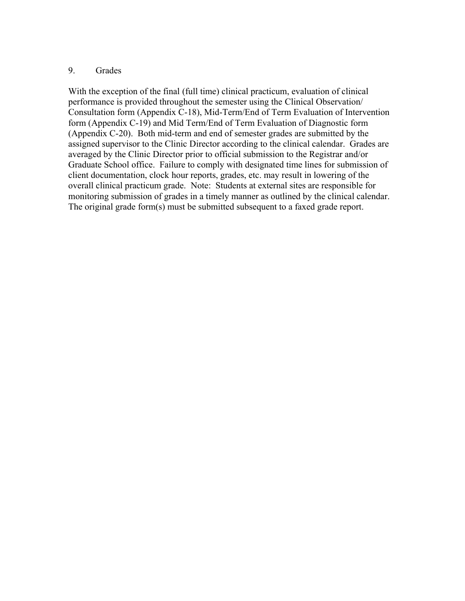#### 9. Grades

With the exception of the final (full time) clinical practicum, evaluation of clinical performance is provided throughout the semester using the Clinical Observation/ Consultation form (Appendix C-18), Mid-Term/End of Term Evaluation of Intervention form (Appendix C-19) and Mid Term/End of Term Evaluation of Diagnostic form (Appendix C-20). Both mid-term and end of semester grades are submitted by the assigned supervisor to the Clinic Director according to the clinical calendar. Grades are averaged by the Clinic Director prior to official submission to the Registrar and/or Graduate School office. Failure to comply with designated time lines for submission of client documentation, clock hour reports, grades, etc. may result in lowering of the overall clinical practicum grade. Note: Students at external sites are responsible for monitoring submission of grades in a timely manner as outlined by the clinical calendar. The original grade form(s) must be submitted subsequent to a faxed grade report.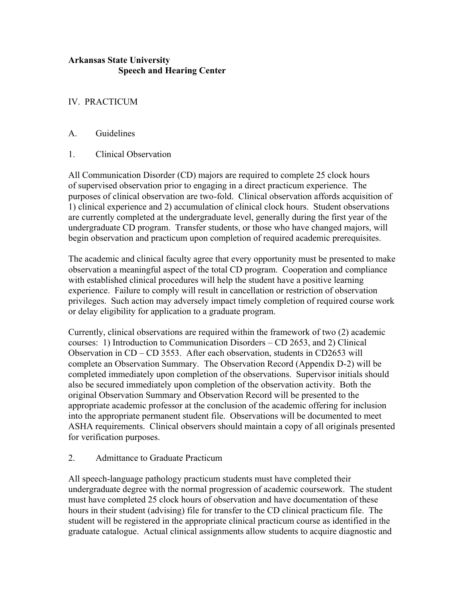## **Arkansas State University Speech and Hearing Center**

## IV. PRACTICUM

## A. Guidelines

1. Clinical Observation

All Communication Disorder (CD) majors are required to complete 25 clock hours of supervised observation prior to engaging in a direct practicum experience. The purposes of clinical observation are two-fold. Clinical observation affords acquisition of 1) clinical experience and 2) accumulation of clinical clock hours. Student observations are currently completed at the undergraduate level, generally during the first year of the undergraduate CD program. Transfer students, or those who have changed majors, will begin observation and practicum upon completion of required academic prerequisites.

The academic and clinical faculty agree that every opportunity must be presented to make observation a meaningful aspect of the total CD program. Cooperation and compliance with established clinical procedures will help the student have a positive learning experience. Failure to comply will result in cancellation or restriction of observation privileges. Such action may adversely impact timely completion of required course work or delay eligibility for application to a graduate program.

Currently, clinical observations are required within the framework of two (2) academic courses: 1) Introduction to Communication Disorders – CD 2653, and 2) Clinical Observation in  $CD - CD$  3553. After each observation, students in CD2653 will complete an Observation Summary. The Observation Record (Appendix D-2) will be completed immediately upon completion of the observations. Supervisor initials should also be secured immediately upon completion of the observation activity. Both the original Observation Summary and Observation Record will be presented to the appropriate academic professor at the conclusion of the academic offering for inclusion into the appropriate permanent student file. Observations will be documented to meet ASHA requirements. Clinical observers should maintain a copy of all originals presented for verification purposes.

## 2. Admittance to Graduate Practicum

All speech-language pathology practicum students must have completed their undergraduate degree with the normal progression of academic coursework. The student must have completed 25 clock hours of observation and have documentation of these hours in their student (advising) file for transfer to the CD clinical practicum file. The student will be registered in the appropriate clinical practicum course as identified in the graduate catalogue. Actual clinical assignments allow students to acquire diagnostic and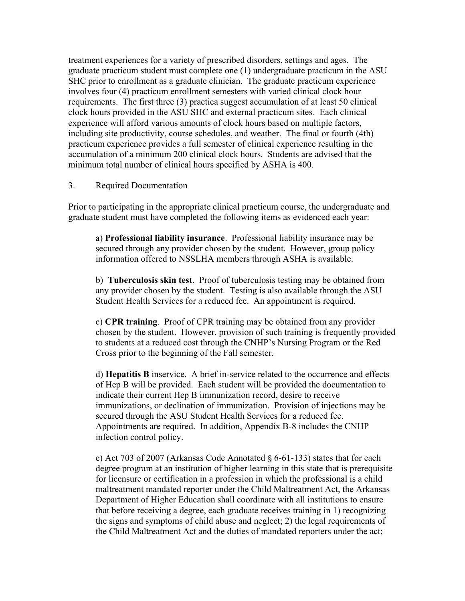treatment experiences for a variety of prescribed disorders, settings and ages. The graduate practicum student must complete one (1) undergraduate practicum in the ASU SHC prior to enrollment as a graduate clinician. The graduate practicum experience involves four (4) practicum enrollment semesters with varied clinical clock hour requirements. The first three (3) practica suggest accumulation of at least 50 clinical clock hours provided in the ASU SHC and external practicum sites. Each clinical experience will afford various amounts of clock hours based on multiple factors, including site productivity, course schedules, and weather. The final or fourth (4th) practicum experience provides a full semester of clinical experience resulting in the accumulation of a minimum 200 clinical clock hours. Students are advised that the minimum total number of clinical hours specified by ASHA is 400.

#### 3. Required Documentation

Prior to participating in the appropriate clinical practicum course, the undergraduate and graduate student must have completed the following items as evidenced each year:

a) **Professional liability insurance**. Professional liability insurance may be secured through any provider chosen by the student. However, group policy information offered to NSSLHA members through ASHA is available.

b) **Tuberculosis skin test**. Proof of tuberculosis testing may be obtained from any provider chosen by the student. Testing is also available through the ASU Student Health Services for a reduced fee. An appointment is required.

c) **CPR training**. Proof of CPR training may be obtained from any provider chosen by the student. However, provision of such training is frequently provided to students at a reduced cost through the CNHP's Nursing Program or the Red Cross prior to the beginning of the Fall semester.

d) **Hepatitis B** inservice. A brief in-service related to the occurrence and effects of Hep B will be provided. Each student will be provided the documentation to indicate their current Hep B immunization record, desire to receive immunizations, or declination of immunization. Provision of injections may be secured through the ASU Student Health Services for a reduced fee. Appointments are required. In addition, Appendix B-8 includes the CNHP infection control policy.

e) Act 703 of 2007 (Arkansas Code Annotated § 6-61-133) states that for each degree program at an institution of higher learning in this state that is prerequisite for licensure or certification in a profession in which the professional is a child maltreatment mandated reporter under the Child Maltreatment Act, the Arkansas Department of Higher Education shall coordinate with all institutions to ensure that before receiving a degree, each graduate receives training in 1) recognizing the signs and symptoms of child abuse and neglect; 2) the legal requirements of the Child Maltreatment Act and the duties of mandated reporters under the act;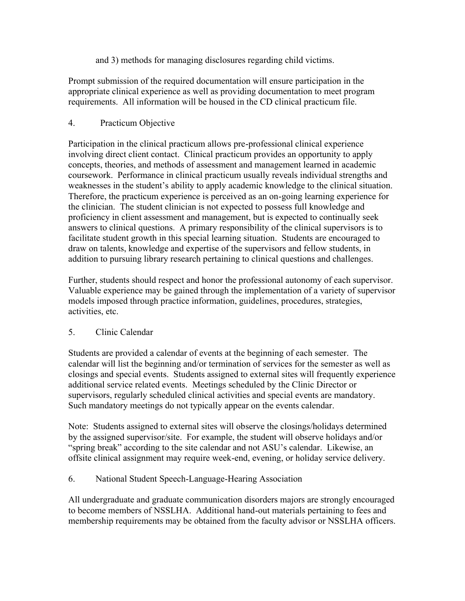and 3) methods for managing disclosures regarding child victims.

Prompt submission of the required documentation will ensure participation in the appropriate clinical experience as well as providing documentation to meet program requirements. All information will be housed in the CD clinical practicum file.

## 4. Practicum Objective

Participation in the clinical practicum allows pre-professional clinical experience involving direct client contact. Clinical practicum provides an opportunity to apply concepts, theories, and methods of assessment and management learned in academic coursework. Performance in clinical practicum usually reveals individual strengths and weaknesses in the student's ability to apply academic knowledge to the clinical situation. Therefore, the practicum experience is perceived as an on-going learning experience for the clinician. The student clinician is not expected to possess full knowledge and proficiency in client assessment and management, but is expected to continually seek answers to clinical questions. A primary responsibility of the clinical supervisors is to facilitate student growth in this special learning situation. Students are encouraged to draw on talents, knowledge and expertise of the supervisors and fellow students, in addition to pursuing library research pertaining to clinical questions and challenges.

Further, students should respect and honor the professional autonomy of each supervisor. Valuable experience may be gained through the implementation of a variety of supervisor models imposed through practice information, guidelines, procedures, strategies, activities, etc.

## 5. Clinic Calendar

Students are provided a calendar of events at the beginning of each semester. The calendar will list the beginning and/or termination of services for the semester as well as closings and special events. Students assigned to external sites will frequently experience additional service related events. Meetings scheduled by the Clinic Director or supervisors, regularly scheduled clinical activities and special events are mandatory. Such mandatory meetings do not typically appear on the events calendar.

Note: Students assigned to external sites will observe the closings/holidays determined by the assigned supervisor/site. For example, the student will observe holidays and/or "spring break" according to the site calendar and not ASU's calendar. Likewise, an offsite clinical assignment may require week-end, evening, or holiday service delivery.

## 6. National Student Speech-Language-Hearing Association

All undergraduate and graduate communication disorders majors are strongly encouraged to become members of NSSLHA. Additional hand-out materials pertaining to fees and membership requirements may be obtained from the faculty advisor or NSSLHA officers.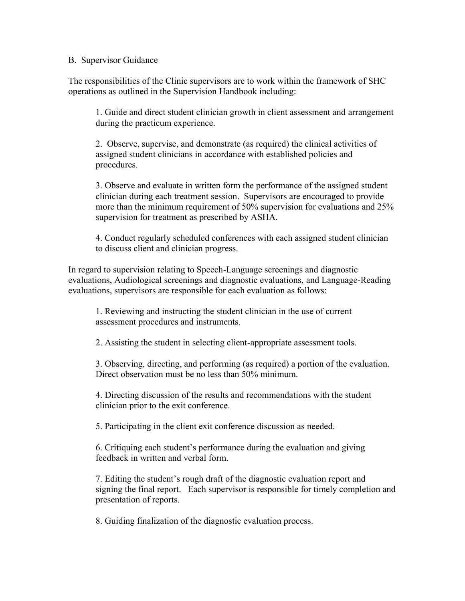#### B. Supervisor Guidance

The responsibilities of the Clinic supervisors are to work within the framework of SHC operations as outlined in the Supervision Handbook including:

1. Guide and direct student clinician growth in client assessment and arrangement during the practicum experience.

2. Observe, supervise, and demonstrate (as required) the clinical activities of assigned student clinicians in accordance with established policies and procedures.

3. Observe and evaluate in written form the performance of the assigned student clinician during each treatment session. Supervisors are encouraged to provide more than the minimum requirement of 50% supervision for evaluations and 25% supervision for treatment as prescribed by ASHA.

4. Conduct regularly scheduled conferences with each assigned student clinician to discuss client and clinician progress.

In regard to supervision relating to Speech-Language screenings and diagnostic evaluations, Audiological screenings and diagnostic evaluations, and Language-Reading evaluations, supervisors are responsible for each evaluation as follows:

1. Reviewing and instructing the student clinician in the use of current assessment procedures and instruments.

2. Assisting the student in selecting client-appropriate assessment tools.

3. Observing, directing, and performing (as required) a portion of the evaluation. Direct observation must be no less than 50% minimum.

4. Directing discussion of the results and recommendations with the student clinician prior to the exit conference.

5. Participating in the client exit conference discussion as needed.

6. Critiquing each student's performance during the evaluation and giving feedback in written and verbal form.

7. Editing the student's rough draft of the diagnostic evaluation report and signing the final report. Each supervisor is responsible for timely completion and presentation of reports.

8. Guiding finalization of the diagnostic evaluation process.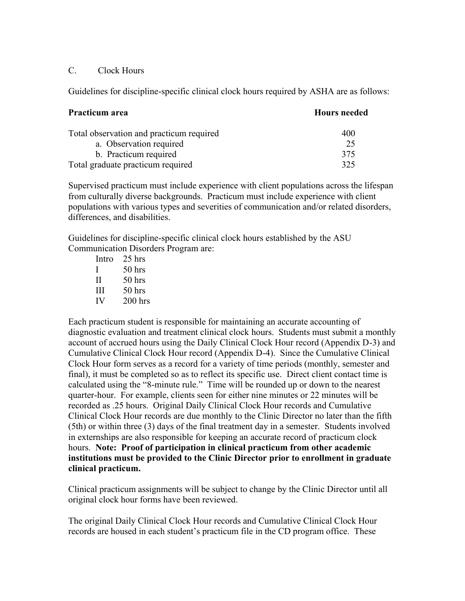### C. Clock Hours

Guidelines for discipline-specific clinical clock hours required by ASHA are as follows:

| Practicum area                           | <b>Hours needed</b> |
|------------------------------------------|---------------------|
| Total observation and practicum required | 400                 |
| a. Observation required                  | 25                  |
| b. Practicum required                    | 375                 |
| Total graduate practicum required        | 325                 |

Supervised practicum must include experience with client populations across the lifespan from culturally diverse backgrounds. Practicum must include experience with client populations with various types and severities of communication and/or related disorders, differences, and disabilities.

Guidelines for discipline-specific clinical clock hours established by the ASU Communication Disorders Program are:

| Intro | 25 hrs    |
|-------|-----------|
| L     | 50 hrs    |
| Н     | $50$ hrs  |
| Ш     | 50 hrs    |
| IV    | $200$ hrs |

Each practicum student is responsible for maintaining an accurate accounting of diagnostic evaluation and treatment clinical clock hours. Students must submit a monthly account of accrued hours using the Daily Clinical Clock Hour record (Appendix D-3) and Cumulative Clinical Clock Hour record (Appendix D-4). Since the Cumulative Clinical Clock Hour form serves as a record for a variety of time periods (monthly, semester and final), it must be completed so as to reflect its specific use. Direct client contact time is calculated using the "8-minute rule." Time will be rounded up or down to the nearest quarter-hour. For example, clients seen for either nine minutes or 22 minutes will be recorded as .25 hours. Original Daily Clinical Clock Hour records and Cumulative Clinical Clock Hour records are due monthly to the Clinic Director no later than the fifth (5th) or within three (3) days of the final treatment day in a semester. Students involved in externships are also responsible for keeping an accurate record of practicum clock hours. **Note: Proof of participation in clinical practicum from other academic institutions must be provided to the Clinic Director prior to enrollment in graduate clinical practicum.** 

Clinical practicum assignments will be subject to change by the Clinic Director until all original clock hour forms have been reviewed.

The original Daily Clinical Clock Hour records and Cumulative Clinical Clock Hour records are housed in each student's practicum file in the CD program office. These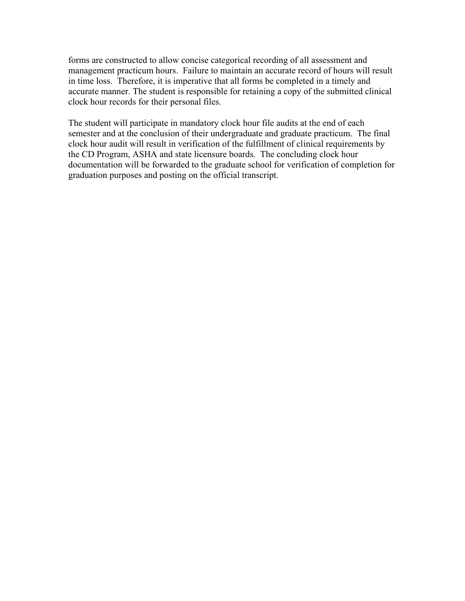forms are constructed to allow concise categorical recording of all assessment and management practicum hours. Failure to maintain an accurate record of hours will result in time loss. Therefore, it is imperative that all forms be completed in a timely and accurate manner. The student is responsible for retaining a copy of the submitted clinical clock hour records for their personal files.

The student will participate in mandatory clock hour file audits at the end of each semester and at the conclusion of their undergraduate and graduate practicum. The final clock hour audit will result in verification of the fulfillment of clinical requirements by the CD Program, ASHA and state licensure boards. The concluding clock hour documentation will be forwarded to the graduate school for verification of completion for graduation purposes and posting on the official transcript.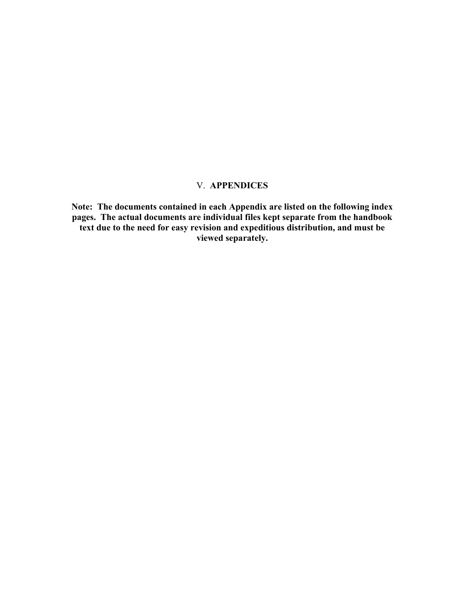## V. **APPENDICES**

**Note: The documents contained in each Appendix are listed on the following index pages. The actual documents are individual files kept separate from the handbook text due to the need for easy revision and expeditious distribution, and must be viewed separately.**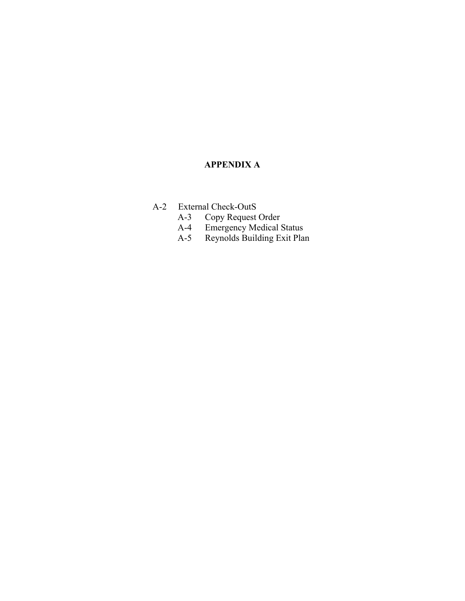## **APPENDIX A**

- A-2 External Check-OutS<br>A-3 Copy Request
	- A-3 Copy Request Order
	- A-4 Emergency Medical Status
	- A-5 Reynolds Building Exit Plan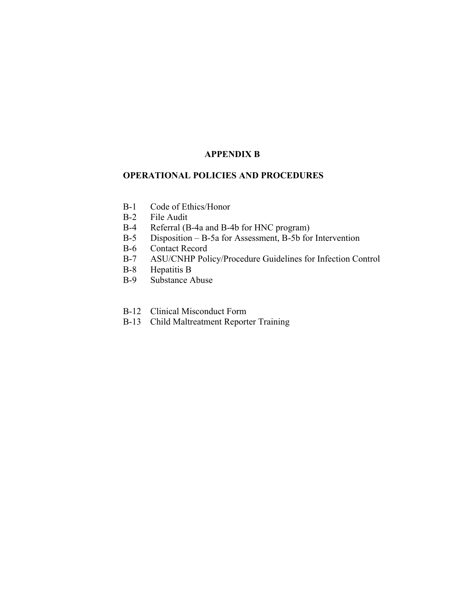## **APPENDIX B**

#### **OPERATIONAL POLICIES AND PROCEDURES**

- B-1 Code of Ethics/Honor
- B-2 File Audit
- B-4 Referral (B-4a and B-4b for HNC program)
- B-5 Disposition B-5a for Assessment, B-5b for Intervention
- B-6 Contact Record
- B-7 ASU/CNHP Policy/Procedure Guidelines for Infection Control
- B-8 Hepatitis B
- B-9 Substance Abuse
- B-12 Clinical Misconduct Form
- B-13 Child Maltreatment Reporter Training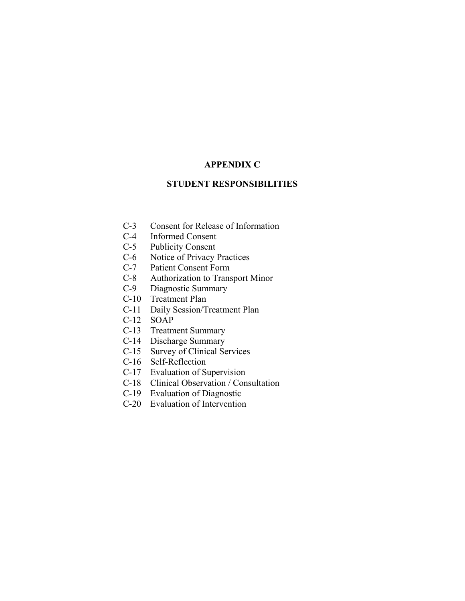#### **APPENDIX C**

## **STUDENT RESPONSIBILITIES**

- C-3 Consent for Release of Information<br>C-4 Informed Consent
- Informed Consent
- C-5 Publicity Consent
- C-6 Notice of Privacy Practices
- C-7 Patient Consent Form
- C-8 Authorization to Transport Minor<br>C-9 Diagnostic Summary
- Diagnostic Summary
- C-10 Treatment Plan
- C-11 Daily Session/Treatment Plan
- C-12 SOAP
- C-13 Treatment Summary
- C-14 Discharge Summary
- C-15 Survey of Clinical Services
- C-16 Self-Reflection
- C-17 Evaluation of Supervision
- C-18 Clinical Observation / Consultation
- C-19 Evaluation of Diagnostic
- C-20 Evaluation of Intervention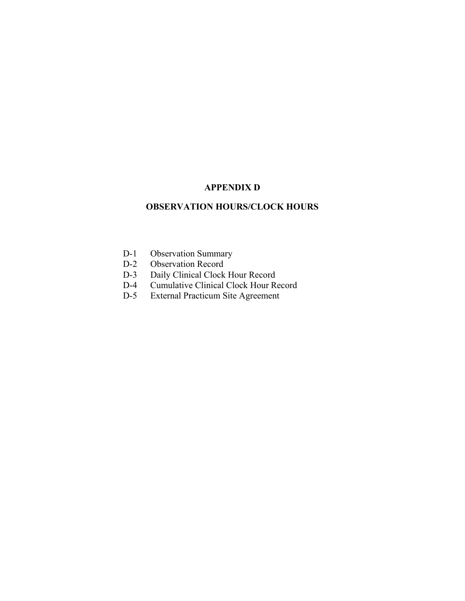## **APPENDIX D**

## **OBSERVATION HOURS/CLOCK HOURS**

- D-1 Observation Summary<br>D-2 Observation Record
- D-2 Observation Record<br>D-3 Daily Clinical Clock
- D-3 Daily Clinical Clock Hour Record<br>D-4 Cumulative Clinical Clock Hour Re
- Cumulative Clinical Clock Hour Record
- D-5 External Practicum Site Agreement